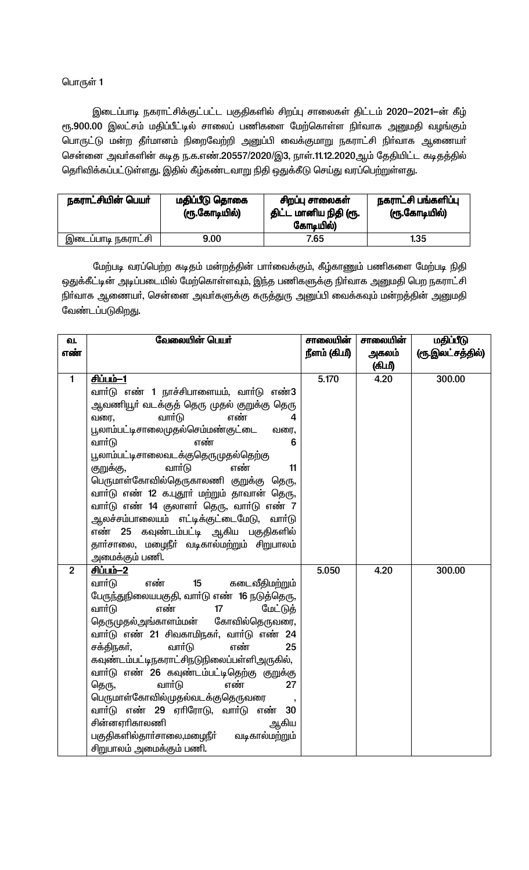இடைப்பாடி நகராட்சிக்குட்பட்ட பகுதிகளில் சிறப்பு சாலைகள் திட்டம் 2020-2021-ன் கீழ் ரூ.900.00 இலட்சம் மதிப்பீட்டில் சாலைப் பணிகளை மேற்கொள்ள நிா்வாக அனுமதி வழங்கும் பொருட்டு மன்ற தீா்மானம் நிறைவேற்றி அனுப்பி வைக்குமாறு நகராட்சி நிா்வாக ஆணையா் சென்னை அவர்களின் கடித ந.க.எண்.20557/2020/இ3, நாள்.11.12.2020ஆம் தேதியிட்ட கடிதத்தில் தெரிவிக்கப்பட்டுள்ளது. இதில் கீழ்கண்டவாறு நிதி ஒதுக்கீடு செய்து வரப்பெற்றுள்ளது.

| நகராட்சியின் பெயர் | மதிப்பீடு தொகை<br>(ரூ.கோடியில்) | சிறப்பு சாலைகள்<br>திட்ட மானிய நிதி (ரூ.<br>கோடியில்) | நகராட்சி பங்களிப்பு<br>(ரூ.கோடியில்) |
|--------------------|---------------------------------|-------------------------------------------------------|--------------------------------------|
| இடைப்பாடி நகராட்சி | 9.00                            | 7.65                                                  | 1.35                                 |

மேற்படி வரப்பெற்ற கடிதம் மன்றத்தின் பாா்வைக்கும், கீழ்காணும் பணிகளை மேற்படி நிதி ஒதுக்கீட்டின் அடிப்படையில் மேற்கொள்ளவும், இந்த பணிகளுக்கு நிர்வாக அனுமதி பெற நகராட்சி நிா்வாக ஆணையா், சென்னை அவா்களுக்கு கருத்துரு அனுப்பி வைக்கவும் மன்றத்தின் அனுமதி வேண்டப்படுகிறது.

| வேலையின் பெயர்                             | சாலையின்                                                                                                                                                                                                                                                                                                                                                                                                                                                                                                                                                                                                                                                                                                                                                                                                                                                                                                                                                                                                                                                              | சாலையின் | மதிப்பீடு        |
|--------------------------------------------|-----------------------------------------------------------------------------------------------------------------------------------------------------------------------------------------------------------------------------------------------------------------------------------------------------------------------------------------------------------------------------------------------------------------------------------------------------------------------------------------------------------------------------------------------------------------------------------------------------------------------------------------------------------------------------------------------------------------------------------------------------------------------------------------------------------------------------------------------------------------------------------------------------------------------------------------------------------------------------------------------------------------------------------------------------------------------|----------|------------------|
|                                            | நீளம் (கி.மீ)                                                                                                                                                                                                                                                                                                                                                                                                                                                                                                                                                                                                                                                                                                                                                                                                                                                                                                                                                                                                                                                         | அகலம்    | (ரூ.இலட்சத்தில்) |
|                                            |                                                                                                                                                                                                                                                                                                                                                                                                                                                                                                                                                                                                                                                                                                                                                                                                                                                                                                                                                                                                                                                                       | (கி.மீ)  |                  |
| <u>சிப்பம்-1</u>                           | 5.170                                                                                                                                                                                                                                                                                                                                                                                                                                                                                                                                                                                                                                                                                                                                                                                                                                                                                                                                                                                                                                                                 | 4.20     | 300.00           |
|                                            |                                                                                                                                                                                                                                                                                                                                                                                                                                                                                                                                                                                                                                                                                                                                                                                                                                                                                                                                                                                                                                                                       |          |                  |
| ஆவணியூா் வடக்குத் தெரு முதல் குறுக்கு தெரு |                                                                                                                                                                                                                                                                                                                                                                                                                                                                                                                                                                                                                                                                                                                                                                                                                                                                                                                                                                                                                                                                       |          |                  |
| எண்<br>வரை,<br>4                           |                                                                                                                                                                                                                                                                                                                                                                                                                                                                                                                                                                                                                                                                                                                                                                                                                                                                                                                                                                                                                                                                       |          |                  |
| வரை,                                       |                                                                                                                                                                                                                                                                                                                                                                                                                                                                                                                                                                                                                                                                                                                                                                                                                                                                                                                                                                                                                                                                       |          |                  |
| 6                                          |                                                                                                                                                                                                                                                                                                                                                                                                                                                                                                                                                                                                                                                                                                                                                                                                                                                                                                                                                                                                                                                                       |          |                  |
|                                            |                                                                                                                                                                                                                                                                                                                                                                                                                                                                                                                                                                                                                                                                                                                                                                                                                                                                                                                                                                                                                                                                       |          |                  |
|                                            |                                                                                                                                                                                                                                                                                                                                                                                                                                                                                                                                                                                                                                                                                                                                                                                                                                                                                                                                                                                                                                                                       |          |                  |
|                                            |                                                                                                                                                                                                                                                                                                                                                                                                                                                                                                                                                                                                                                                                                                                                                                                                                                                                                                                                                                                                                                                                       |          |                  |
|                                            |                                                                                                                                                                                                                                                                                                                                                                                                                                                                                                                                                                                                                                                                                                                                                                                                                                                                                                                                                                                                                                                                       |          |                  |
|                                            |                                                                                                                                                                                                                                                                                                                                                                                                                                                                                                                                                                                                                                                                                                                                                                                                                                                                                                                                                                                                                                                                       |          |                  |
|                                            |                                                                                                                                                                                                                                                                                                                                                                                                                                                                                                                                                                                                                                                                                                                                                                                                                                                                                                                                                                                                                                                                       |          |                  |
|                                            |                                                                                                                                                                                                                                                                                                                                                                                                                                                                                                                                                                                                                                                                                                                                                                                                                                                                                                                                                                                                                                                                       |          |                  |
|                                            |                                                                                                                                                                                                                                                                                                                                                                                                                                                                                                                                                                                                                                                                                                                                                                                                                                                                                                                                                                                                                                                                       |          |                  |
|                                            |                                                                                                                                                                                                                                                                                                                                                                                                                                                                                                                                                                                                                                                                                                                                                                                                                                                                                                                                                                                                                                                                       |          |                  |
|                                            |                                                                                                                                                                                                                                                                                                                                                                                                                                                                                                                                                                                                                                                                                                                                                                                                                                                                                                                                                                                                                                                                       |          | 300.00           |
|                                            |                                                                                                                                                                                                                                                                                                                                                                                                                                                                                                                                                                                                                                                                                                                                                                                                                                                                                                                                                                                                                                                                       |          |                  |
|                                            |                                                                                                                                                                                                                                                                                                                                                                                                                                                                                                                                                                                                                                                                                                                                                                                                                                                                                                                                                                                                                                                                       |          |                  |
|                                            |                                                                                                                                                                                                                                                                                                                                                                                                                                                                                                                                                                                                                                                                                                                                                                                                                                                                                                                                                                                                                                                                       |          |                  |
|                                            |                                                                                                                                                                                                                                                                                                                                                                                                                                                                                                                                                                                                                                                                                                                                                                                                                                                                                                                                                                                                                                                                       |          |                  |
|                                            |                                                                                                                                                                                                                                                                                                                                                                                                                                                                                                                                                                                                                                                                                                                                                                                                                                                                                                                                                                                                                                                                       |          |                  |
|                                            |                                                                                                                                                                                                                                                                                                                                                                                                                                                                                                                                                                                                                                                                                                                                                                                                                                                                                                                                                                                                                                                                       |          |                  |
|                                            |                                                                                                                                                                                                                                                                                                                                                                                                                                                                                                                                                                                                                                                                                                                                                                                                                                                                                                                                                                                                                                                                       |          |                  |
|                                            |                                                                                                                                                                                                                                                                                                                                                                                                                                                                                                                                                                                                                                                                                                                                                                                                                                                                                                                                                                                                                                                                       |          |                  |
|                                            |                                                                                                                                                                                                                                                                                                                                                                                                                                                                                                                                                                                                                                                                                                                                                                                                                                                                                                                                                                                                                                                                       |          |                  |
|                                            |                                                                                                                                                                                                                                                                                                                                                                                                                                                                                                                                                                                                                                                                                                                                                                                                                                                                                                                                                                                                                                                                       |          |                  |
|                                            |                                                                                                                                                                                                                                                                                                                                                                                                                                                                                                                                                                                                                                                                                                                                                                                                                                                                                                                                                                                                                                                                       |          |                  |
|                                            |                                                                                                                                                                                                                                                                                                                                                                                                                                                                                                                                                                                                                                                                                                                                                                                                                                                                                                                                                                                                                                                                       |          |                  |
|                                            |                                                                                                                                                                                                                                                                                                                                                                                                                                                                                                                                                                                                                                                                                                                                                                                                                                                                                                                                                                                                                                                                       |          |                  |
|                                            | வார்டு எண் 1 நாச்சிபாளையம், வார்டு எண்3<br>வார்டு<br>பூலாம்பட்டிசாலைமுதல்செம்மண்குட்டை<br>வாா்டு<br>எண்<br>பூலாம்பட்டிசாலைவடக்குதெருமுதல்தெற்கு<br>வார்டு<br>எண்<br>குறுக்கு,<br>11<br>பெருமாள்கோவில்தெருகாலணி குறுக்கு தெரு,<br>வாா்டு எண் 12 க.புதூா் மற்றும் தாவான் தெரு,<br>வாா்டு எண் 14 குலாளா் தெரு, வாா்டு எண் 7<br>ஆலச்சம்பாலையம் எட்டிக்குட்டைமேடு, வாா்டு<br>எண் 25 கவுண்டம்பட்டி ஆகிய பகுதிகளில்<br>தாா்சாலை, மழைநீா் வடிகால்மற்றும் சிறுபாலம்<br>அமைக்கும் பணி.<br><u>சிப்பம்-2</u><br>எண்<br>வார்டு<br>15<br>கடைவீதிமற்றும்<br>பேருந்துநிலையபகுதி, வாா்டு எண் 16 நடுத்தெரு,<br>வார்டு<br>எண்<br>மேட்டுத்<br>17<br>தெருமுதல்அங்காளம்மன் கோவில்தெருவரை,<br>வாா்டு எண் 21 சிவகாமிநகா், வாா்டு எண் 24<br>வார்டு<br>எண்<br>சக்திநகர்,<br>25<br>கவுண்டம்பட்டிநகராட்சிநடுநிலைப்பள்ளிஅருகில்,<br>வாா்டு எண் 26 கவுண்டம்பட்டிதெற்கு குறுக்கு<br>வார்டு<br>எண்<br>27<br>தெரு,<br>பெருமாள்கோவில்முதல்வடக்குதெருவரை<br>வார்டு எண் 29 ஏரிரோடு, வார்டு எண்<br>30<br>சின்னஏரிகாலணி<br>ஆகிய<br>பகுதிகளில்தாா்சாலை,மழைநீா்<br>வடிகால்மற்றும்<br>சிறுபாலம் அமைக்கும் பணி. | 5.050    | 4.20             |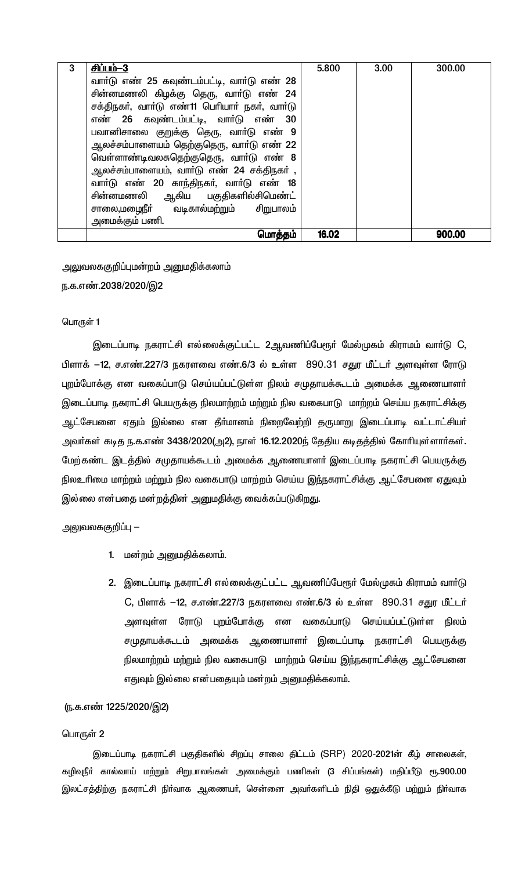| 3 | <u>சிப்பம்-3</u>                              | 5.800 | 3.00 | 300.00 |
|---|-----------------------------------------------|-------|------|--------|
|   | வார்டு எண் 25 கவுண்டம்பட்டி, வார்டு எண் 28    |       |      |        |
|   | சின்னமணலி கிழக்கு தெரு, வாா்டு எண் 24         |       |      |        |
|   | சக்திநகர், வார்டு எண்11 பெரியார் நகர், வார்டு |       |      |        |
|   | எண் 26 கவுண்டம்பட்டி, வார்டு எண் 30           |       |      |        |
|   | பவானிசாலை குறுக்கு தெரு, வாா்டு எண் 9         |       |      |        |
|   | ஆலச்சம்பாளையம் தெற்குதெரு, வாா்டு எண் 22      |       |      |        |
|   | வெள்ளாண்டிவலசுதெற்குதெரு, வாா்டு எண் 8        |       |      |        |
|   | ஆலச்சம்பாளையம், வார்டு எண் 24 சக்திநகர் ,     |       |      |        |
|   | வார்டு எண் 20 காந்திநகர், வார்டு எண் 18       |       |      |        |
|   | சின்னமணலி ஆகிய பகுதிகளில்சிமெண்ட்             |       |      |        |
|   | சாலை,மழைநீா் வடிகால்மற்றும் சிறுபாலம்         |       |      |        |
|   | அமைக்கும் பணி.                                |       |      |        |
|   | மொத்தம்                                       | 16.02 |      | 900.00 |

# அலுவலககுறிப்புமன்றம் அனுமதிக்கலாம்

ந.க.எண்.2038/2020/இ2

### பொருள் 1

இடைப்பாடி நகராட்சி எல்லைக்குட்பட்ட 2ஆவணிப்பேரூா் மேல்முகம் கிராமம் வாா்டு C, பிளாக் —12, ச.எண்.227/3 நகரளவை எண்.6/3 ல் உள்ள 890.31 சதுர மீட்டர் அளவுள்ள ரோடு புறம்போக்கு என வகைப்பாடு செய்யப்பட்டுள்ள நிலம் சமுதாயக்கூடம் அமைக்க ஆணையாளா் இடைப்பாடி நகராட்சி பெயருக்கு நிலமாற்றம் மற்றும் நில வகைபாடு மாற்றம் செய்ய நகராட்சிக்கு ஆட்சேபனை ஏதும் இல்லை என தீா்மானம் நிறைவேற்றி தருமாறு இடைப்பாடி வட்டாட்சியா் அவா்கள் கடித ந.க.எண் 3438/2020(அ2), நாள் 16.12.2020ந் தேதிய கடிதத்தில் கோாியுள்ளாா்கள். மேற்கண்ட இடத்தில் சமுதாயக்கூடம் அமைக்க ஆணையாளர் இடைப்பாடி நகராட்சி பெயருக்கு நிலஉரிமை மாற்றம் மற்றும் நில வகைபாடு மாற்றம் செய்ய இந்நகராட்சிக்கு ஆட்சேபனை ஏதுவும் இல்லை என்பதை மன்றத்தின் அனுமதிக்கு வைக்கப்படுகிறது.

# அலுவலககுறிப்பு —

- 1. மன்றம் அனுமதிக்கலாம்.
- 2. இடைப்பாடி நகராட்சி எல்லைக்குட்பட்ட ஆவணிப்பேரூா் மேல்முகம் கிராமம் வாா்டு C, பிளாக் –12, ச.எண்.227/3 நகரளவை எண்.6/3 ல் உள்ள 890.31 சதுர மீட்டர் அளவுள்ள ரோடு புறம்போக்கு என வகைப்பாடு செய்யப்பட்டுள்ள நிலம் சமுதாயக்கூடம் அமைக்க ஆணையாளா் இடைப்பாடி நகராட்சி பெயருக்கு நிலமாற்றம் மற்றும் நில வகைபாடு மாற்றம் செய்ய இந்நகராட்சிக்கு ஆட்சேபனை எதுவும் இல்லை என்பதையும் மன்றம் அனுமதிக்கலாம்.

# <u>(ந</u>.க.எண் 1225/2020/இ2)

## பொருள் 2

இடைப்பாடி நகராட்சி பகுதிகளில் சிறப்பு சாலை திட்டம் (SRP) 2020-2021ன் கீழ் சாலைகள், கழிவுநீா் கால்வாய் மற்றும் சிறுபாலங்கள் அமைக்கும் பணிகள் (3 சிப்பங்கள்) மதிப்பீடு ரூ.900.00 இலட்சத்திற்கு நகராட்சி நிா்வாக ஆணையா், சென்னை அவா்களிடம் நிதி ஒதுக்கீடு மற்றும் நிா்வாக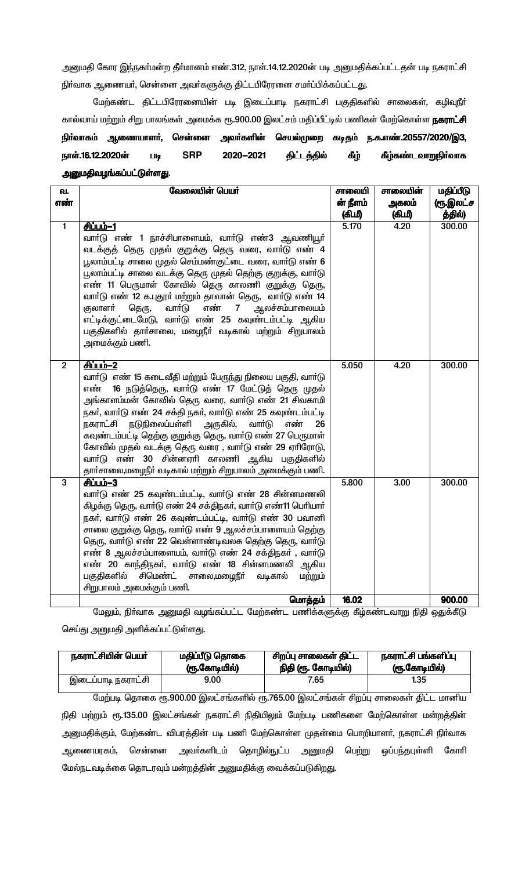அனுமதி கோர இந்நகர்மன்ற தீர்மானம் எண்.312, நாள்.14.12.2020ன் படி அனுமதிக்கப்பட்டதன் படி நகராட்சி நிர்வாக ஆணையர், சென்னை அவர்களுக்கு திட்டபிரேரனை சமர்ப்பிக்கப்பட்டது.

மேற்கண்ட திட்டபிரேரனையின் படி இடைப்பாடி நகராட்சி பகுதிகளில் சாலைகள், கழிவுநீா் கால்வாய் மற்றும் சிறு பாலங்கள் அமைக்க ரூ.900.00 இலட்சம் மதிப்பீட்டில் பணிகள் மேற்கொள்ள **நகராட்சி** நிா்வாகம் ஆணையாளா், சென்னை அவா்களின் செயல்முறை கடிதம் ந.க.எண்.20557/2020/இ3, நாள்.16.12.2020ன் **SRP** கீழ்கண்டவாறுநிர்வாக 2020-2021 திட்டத்தில் கீழ் **Lilg** அனுமதிவழங்கப்பட்டுள்ளது.

| ഖ.             | வேலையின் பெயர்                                                        | சாலையி            | சாலையின் | மதிப்பீடு        |
|----------------|-----------------------------------------------------------------------|-------------------|----------|------------------|
| எண்            |                                                                       | ன் நீளம்          | அகலம்    | <u>(ரூ.இலட்ச</u> |
|                |                                                                       | (கி.மீ)           | (கி.மீ)  | த்தில்)          |
| $\mathbf{1}$   | <u>சிப்பம்-1</u>                                                      | 5.170             | 4.20     | 300.00           |
|                | வாா்டு எண் 1 நாச்சிபாளையம், வாா்டு எண்3 ஆவணியூா்                      |                   |          |                  |
|                | வடக்குத் தெரு முதல் குறுக்கு தெரு வரை, வாா்டு எண் 4                   |                   |          |                  |
|                | பூலாம்பட்டி சாலை முதல் செம்மண்குட்டை வரை, வார்டு எண் 6                |                   |          |                  |
|                | பூலாம்பட்டி சாலை வடக்கு தெரு முதல் தெற்கு குறுக்கு, வார்டு            |                   |          |                  |
|                | எண் 11 பெருமாள் கோவில் தெரு காலணி குறுக்கு தெரு,                      |                   |          |                  |
|                | வாா்டு எண் 12 க.புதூா் மற்றும் தாவான் தெரு, வாா்டு எண் 14             |                   |          |                  |
|                | வார்டு<br>எண்<br>குலாளர்<br>ஆலச்சம்பாலையம்<br>தெரு,<br>$\overline{7}$ |                   |          |                  |
|                | எட்டிக்குட்டைமேடு, வாா்டு எண் 25 கவுண்டம்பட்டி ஆகிய                   |                   |          |                  |
|                | பகுதிகளில் தார்சாலை, மழைநீர் வடிகால் மற்றும் சிறுபாலம்                |                   |          |                  |
|                | அமைக்கும் பணி.                                                        |                   |          |                  |
| $\overline{2}$ | சிப்பம்-2                                                             | 5.050             | 4.20     | 300.00           |
|                | வாா்டு எண் 15 கடைவீதி மற்றும் பேருந்து நிலைய பகுதி, வாா்டு            |                   |          |                  |
|                | 16 நடுத்தெரு, வார்டு எண் 17 மேட்டுத் தெரு முதல்<br>எண்                |                   |          |                  |
|                | அங்காளம்மன் கோவில் தெரு வரை, வாா்டு எண் 21 சிவகாமி                    |                   |          |                  |
|                | நகர், வார்டு எண் 24 சக்தி நகர், வார்டு எண் 25 கவுண்டம்பட்டி           |                   |          |                  |
|                | நகராட்சி நடுநிலைப்பள்ளி அருகில்,<br>வாா்டு<br>எண்<br>26               |                   |          |                  |
|                | கவுண்டம்பட்டி தெற்கு குறுக்கு தெரு, வாா்டு எண் 27 பெருமாள்            |                   |          |                  |
|                | கோவில் முதல் வடக்கு தெரு வரை , வாா்டு எண் 29 ஏாிரோடு,                 |                   |          |                  |
|                | வாா்டு எண் 30 சின்னஏாி காலணி ஆகிய பகுதிகளில்                          |                   |          |                  |
|                | தார்சாலை,மழைநீர் வடிகால் மற்றும் சிறுபாலம் அமைக்கும் பணி.             |                   |          |                  |
| $\mathbf{3}$   | <u>சிப்பம்-3</u>                                                      | 5.800             | 3.00     | 300.00           |
|                | வார்டு எண் 25 கவுண்டம்பட்டி, வார்டு எண் 28 சின்னமணலி                  |                   |          |                  |
|                | கிழக்கு தெரு, வார்டு எண் 24 சக்திநகர், வார்டு எண்11 பெரியார்          |                   |          |                  |
|                | நகர், வார்டு எண் 26 கவுண்டம்பட்டி, வார்டு எண் 30 பவானி                |                   |          |                  |
|                | சாலை குறுக்கு தெரு, வார்டு எண் 9 ஆலச்சம்பாளையம் தெற்கு                |                   |          |                  |
|                | தெரு, வார்டு எண் 22 வெள்ளாண்டிவலசு தெற்கு தெரு, வார்டு                |                   |          |                  |
|                | எண் 8 ஆலச்சம்பாளையம், வார்டு எண் 24 சக்திநகர் , வார்டு                |                   |          |                  |
|                | எண் 20 காந்திநகர், வார்டு எண் 18 சின்னமணலி ஆகிய                       |                   |          |                  |
|                | சிமெண்ட் சாலை,மழைநீா்<br>பகுதிகளில்<br>வடிகால்<br>மற்றும்             |                   |          |                  |
|                | சிறுபாலம் அமைக்கும் பணி.<br>மெர்க்கம்                                 |                   |          |                  |
|                |                                                                       | 16 N <sub>2</sub> |          | 900.00           |

.<br>மேலும், நிா்வாக அனுமதி வழங்கப்பட்ட மேற்கண்ட பணிக்களுக்கு கீழ்கண்டவாறு நிதி ஒதுக்கீடு செய்து அனுமதி அளிக்கப்பட்டுள்ளது.

| நகராட்சியின் பெயர் | மதிப்பீடு தொகை | சிறப்பு சாலைகள் திட்ட | நகராட்சி பங்களிப்பு |
|--------------------|----------------|-----------------------|---------------------|
|                    | (ரூ.கோடியில்)  | நிதி (ரூ. கோடியில்)   | (ரூ.கோடியில்)       |
| இடைப்பாடி நகராட்சி | 9.00           | 7.65                  | 1.35                |

மேற்படி தொகை ரூ.900.00 இலட்சங்களில் ரூ.765.00 இலட்சங்கள் சிறப்பு சாலைகள் திட்ட மானிய நிதி மற்றும் ரூ.135.00 இலட்சங்கள் நகராட்சி நிதியிலும் மேற்படி பணிகளை மேற்கொள்ள மன்றத்தின் அனுமதிக்கும், மேற்கண்ட விபரத்தின் படி பணி மேற்கொள்ள முதன்மை பொறியாளா், நகராட்சி நிா்வாக சென்னை அவா்களிடம் தொழில்நுட்ப அனுமதி பெற்று ஒப்பந்தபுள்ளி கோாி ஆணையரகம், மேல்நடவடிக்கை தொடரவும் மன்றத்தின் அனுமதிக்கு வைக்கப்படுகிறது.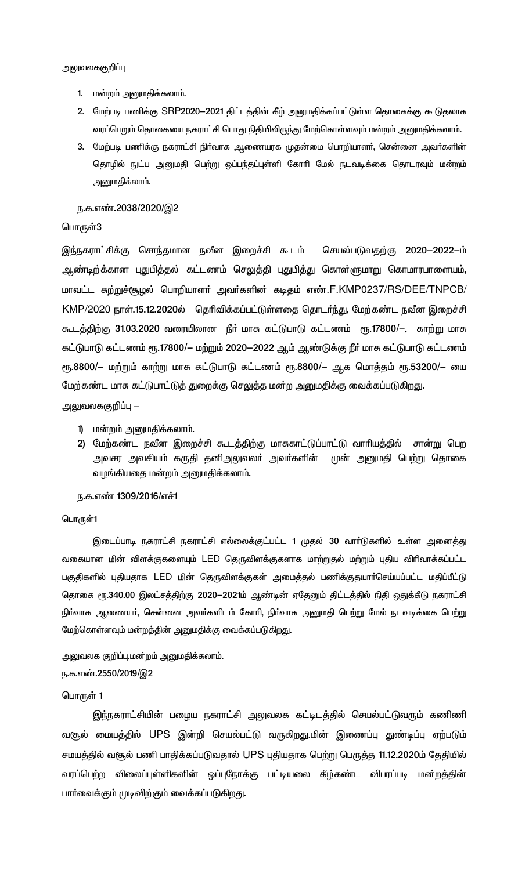- 1. மன்றம் அனுமதிக்கலாம்.
- 2. மேற்படி பணிக்கு SRP2020–2021 திட்டத்தின் கீழ் அனுமதிக்கப்பட்டுள்ள தொகைக்கு கூடுதலாக வரப்பெறும் தொகையை நகராட்சி பொது நிதியிலிருந்து மேற்கொள்ளவும் மன்றம் அனுமதிக்கலாம்.
- 3. மேற்படி பணிக்கு நகராட்சி நிர்வாக ஆணையரக முதன்மை பொறியாளர், சென்னை அவர்களின் தொழில் நுட்ப அனுமதி பெற்று ஒப்பந்தப்புள்ளி கோரி மேல் நடவடிக்கை தொடரவும் மன்றம் அனுமதிக்லாம்.

#### ந.க.எண்.2038/2020/இ2

## பொருள்3

இந்நகராட்சிக்கு சொந்தமான நவீன இறைச்சி கூடம் செயல்படுவதற்கு 2020-2022-ம் ஆண்டிற்க்கான புதுபித்தல் கட்டணம் செலுத்தி புதுபித்து கொள்ளுமாறு கொமாரபாளையம், மாவட்ட சுற்றுச்சூழல் பொறியாளா் அவா்களின் கடிதம் எண்.F.KMP0237/RS/DEE/TNPCB/ KMP/2020 நாள்.15.12.2020ல் தெரிவிக்கப்பட்டுள்ளதை தொடர்ந்து, மேற்கண்ட நவீன இறைச்சி கூடத்திற்கு 31.03.2020 வரையிலான நீா் மாசு கட்டுபாடு கட்டணம் ரூ.17800/-, காற்று மாசு கட்டுபாடு கட்டணம் ரூ.17800/— மற்றும் 2020—2022 ஆம் ஆண்டுக்கு நீர் மாசு கட்டுபாடு கட்டணம் ரூ.8800/— மற்றும் காற்று மாசு கட்டுபாடு கட்டணம் ரூ.8800/— ஆக மொத்தம் ரூ.53200/— யை மேற்கண்ட மாசு கட்டுபாட்டுத் துறைக்கு செலுத்த மன்ற அனுமதிக்கு வைக்கப்படுகிறது.

அலுவலககுறி**ப்**பு —

- 1) மன்றம் அனுமதிக்கலாம்.
- 2) மேற்கண்ட நவீன இறைச்சி கூடத்திற்கு மாசுகாட்டுப்பாட்டு வாரியத்தில் சான்று பெற அவசர அவசியம் கருதி தனிஅலுவலா் அவா்களின் முன் அனுமதி பெற்று தொகை வழங்கியதை மன்றம் அனுமதிக்கலாம்.

## ந.க.எண் 1309/2016/எச்1

#### பொருள்1

இடைப்பாடி நகராட்சி நகராட்சி எல்லைக்குட்பட்ட 1 முதல் 30 வாா்டுகளில் உள்ள அனைத்து வகையான மின் விளக்குகளையும் LED தெருவிளக்குகளாக மாற்றுதல் மற்றும் புதிய விரிவாக்கப்பட்ட பகுதிகளில் புதியதாக LED மின் தெருவிளக்குகள் அமைத்தல் பணிக்குதயார்செய்யப்பட்ட மதிப்பீட்டு தொகை ரூ.340.00 இலட்சத்திற்கு 2020—2021ம் ஆண்டின் ஏதேனும் திட்டத்தில் நிதி ஒதுக்கீடு நகராட்சி நிா்வாக ஆணையா், சென்னை அவா்களிடம் கோாி, நிா்வாக அனுமதி பெற்று மேல் நடவடிக்கை பெற்று மேற்கொள்ளவும் மன்றத்தின் அனுமதிக்கு வைக்கப்படுகிறது.

அலுவலக குறிப்பு.மன்றம் அனுமதிக்கலாம். ந.க.எண்.2550/2019/இ2

#### பொருள் 1

இந்நகராட்சியின் பழைய நகராட்சி அலுவலக கட்டிடத்தில் செயல்பட்டுவரும் கணிணி வரூல் மையத்தில் UPS இன்றி செயல்பட்டு வருகிறது.மின் இணைப்பு துண்டிப்பு ஏற்படும் சமயத்தில் வசூல் பணி பாதிக்கப்படுவதால் UPS புதியதாக பெற்று பெருத்த 11.12.2020ம் தேதியில் வரப்பெற்ற விலைப்புள்ளிகளின் ஒப்புநோக்கு பட்டியலை கீழ்கண்ட விபரப்படி மன்றத்தின் பாா்வைக்கும் முடிவிற்கும் வைக்கப்படுகிறது.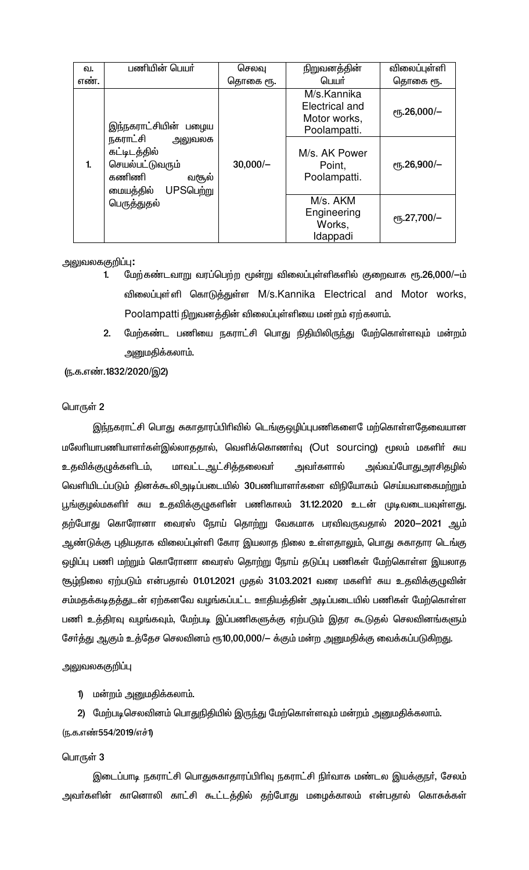| ഖ.          | பணியின் பெயர்                                                                                     | செலவு      | நிறுவனத்தின்                                                  | விலைப்புள்ளி                    |
|-------------|---------------------------------------------------------------------------------------------------|------------|---------------------------------------------------------------|---------------------------------|
| எண.         |                                                                                                   | தொகை ரூ.   | பெயர்                                                         | தொகை ரூ.                        |
|             | இந்நகராட்சியின் பழைய                                                                              |            | M/s.Kannika<br>Electrical and<br>Motor works,<br>Poolampatti. | $\rm e$ гҕ.26,000/-             |
| 1.          | நகராட்சி<br>அலுவலக<br>கட்டிடத்தில்<br>செயல்பட்டுவரும்<br>கணிணி<br>வசூல்<br>UPSபெற்று<br>மையத்தில் | $30,000/-$ | M/s. AK Power<br>Point,<br>Poolampatti.                       | $\rm{e}$ Гђ.26,900/-            |
| பெருத்துதல் |                                                                                                   |            | M/s. AKM<br>Engineering<br>Works,<br>Idappadi                 | $\rm e$ <sup>16</sup> .27,700/- |

## <u>அலுவலககுறிப்பு:</u>

- மேற்கண்டவாறு வரப்பெற்ற மூன்று விலைப்புள்ளிகளில் குறைவாக ரூ.26,000/-ம்  $\blacksquare$ விலைப்புள்ளி கொடுத்துள்ள M/s.Kannika Electrical and Motor works, Poolampatti நிறுவனத்தின் விலைப்புள்ளியை மன்றம் ஏற்கலாம்.
- மேற்கண்ட பணியை நகராட்சி பொது நிதியிலிருந்து மேற்கொள்ளவும் மன்றம்  $2.$ அனுமதிக்கலாம்.

(ந.க.எண்.1832/2020/இ2)

## பொருள் 2

இந்நகராட்சி பொது சுகாதாரப்பிரிவில் டெங்குஒழிப்புபணிகளை ேமற்கொள்ளதேவையான மலேரியாபணியாளர்கள்இல்லாததால், வெளிக்கொணர்வு (Out sourcing) மூலம் மகளிர் சுய உதவிக்குழுக்களிடம், மாவட்டஆட்சித்தலைவர் அவா்களால் அவ்வப்போது அரசிதழில் வெளியிடப்படும் தினக்கூலிஅடிப்படையில் 30பணியாளர்களை விநியோகம் செய்யவாகைமற்றும் பூங்குழல்மகளிா் சுய உதவிக்குழுகளின் பணிகாலம் 31.12.2020 உடன் முடிவடையவுள்ளது. தற்போது கொரோனா வைரஸ் நோய் தொற்று வேகமாக பரவிவருவதால் 2020—2021 ஆம் ஆண்டுக்கு புதியதாக விலைப்புள்ளி கோர இயலாத நிலை உள்ளதாலும், பொது சுகாதார டெங்கு ஒழிப்பு பணி மற்றும் கொரோனா வைரஸ் தொற்று நோய் தடுப்பு பணிகள் மேற்கொள்ள இயலாத சூழ்நிலை ஏற்படும் என்பதால் 01.01.2021 முதல் 31.03.2021 வரை மகளிர் சுய உதவிக்குழுவின் சம்மதக்கடிதத்துடன் ஏற்கனவே வழங்கப்பட்ட ஊதியத்தின் அடிப்படையில் பணிகள் மேற்கொள்ள பணி உத்திரவு வழங்கவும், மேற்படி இப்பணிகளுக்கு ஏற்படும் இதர கூடுதல் செலவினங்களும் சோ்த்து ஆகும் உத்தேச செலவினம் ரூ10,00,000/— க்கும் மன்ற அனுமதிக்கு வைக்கப்படுகிறது.

அலுவலககுறிப்பு

1) மன்றம் அனுமதிக்கலாம்.

2) மேற்படிசெலவினம் பொதுநிதியில் இருந்து மேற்கொள்ளவும் மன்றம் அனுமதிக்கலாம். (ந.க.எண்554/2019/எச்1)

## பொருள் 3

இடைப்பாடி நகராட்சி பொதுசுகாதாரப்பிரிவு நகராட்சி நிர்வாக மண்டல இயக்குநர், சேலம் அவா்களின் கானொலி காட்சி கூட்டத்தில் தற்போது மழைக்காலம் என்பதால் கொசுக்கள்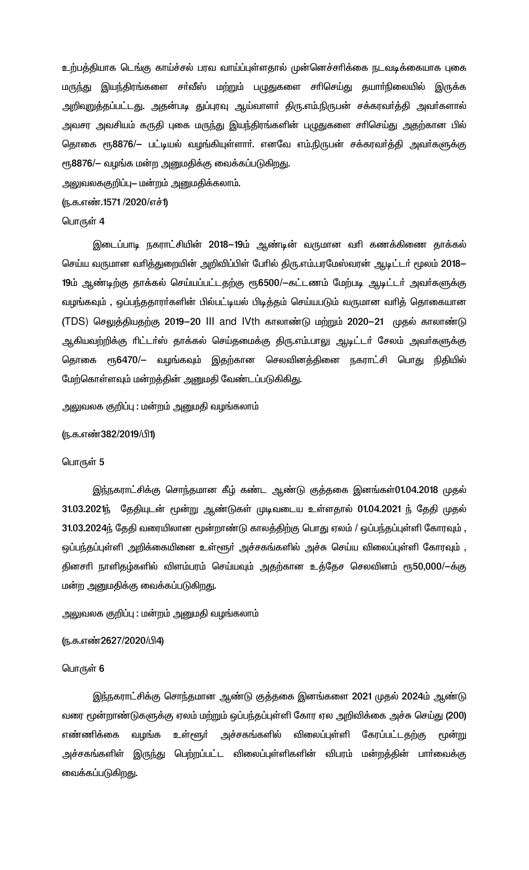உற்பத்தியாக டெங்கு காய்ச்சல் பரவ வாய்ப்புள்ளதால் முன்னெச்சரிக்கை நடவடிக்கையாக புகை மருந்து இயந்திரங்களை சா்வீஸ் மற்றும் பழுதுகளை சாிசெய்து தயாா்நிலையில் இருக்க அறிவுறுத்தப்பட்டது. அதன்படி துப்புரவு ஆய்வாளா் திரு.எம்.நிருபன் சக்கரவா்த்தி அவா்களால் அவசர அவசியம் கருதி புகை மருந்து இயந்திரங்களின் பழுதுகளை சாிசெய்து அதற்கான பில் தொகை ரூ8876/— பட்டியல் வழங்கியுள்ளாா். எனவே எம்.நிருபன் சக்கரவா்த்தி அவா்களுக்கு ரூ8876/– வழங்க மன்ற அனுமதிக்கு வைக்கப்படுகிறது.

அலுவலககுறிப்பு– மன்றம் அனுமதிக்கலாம்.

(ந.க.எண்.1571 /2020/எச்1)

## பொருள் 4

இடைப்பாடி நகராட்சியின் 2018–19ம் ஆண்டின் வருமான வரி கணக்கிணை தாக்கல் செய்ய வருமான வரித்துறையின் அறிவிப்பிள் பேரில் திரு.எம்.பரமேஸ்வரன் ஆடிட்டர் மூலம் 2018– 19ம் ஆண்டிற்கு தாக்கல் செய்யப்பட்டதற்கு ரூ6500/—கட்டணம் மேற்படி ஆடிட்டர் அவர்களுக்கு வழங்கவும் , ஒப்பந்ததாரா்களின் பில்பட்டியல் பிடித்தம் செய்யபடும் வருமான வாித் தொகையான (TDS) செலுத்தியதற்கு 2019–20 III and IVth காலாண்டு மற்றும் 2020–21 முதல் காலாண்டு ஆகியவற்றிக்கு ரிட்டா்ஸ் தாக்கல் செய்தமைக்கு திரு.எம்.பாலு ஆடிட்டா் சேலம் அவா்களுக்கு தொகை ரூ6470/— வழங்கவும் இதற்கான செலவினத்தினை நகராட்சி பொது நிதியில் மேற்கொள்ளவும் மன்றத்தின் அனுமதி வேண்டப்படுகிகிது.

அலுவலக குறிப்பு : மன்றம் அனுமதி வழங்கலாம்

#### ரு.க.எண்382/2019/பி1)

#### பொருள் 5

இந்நகராட்சிக்கு சொந்தமான கீழ் கண்ட ஆண்டு குத்தகை இனங்கள்01.04.2018 முதல் 31.03.2021ந் தேதியுடன் மூன்று ஆண்டுகள் முடிவடைய உள்ளதால் 01.04.2021 ந் தேதி முதல் 31.03.2024ந் தேதி வரையிலான மூன்றாண்டு காலத்திற்கு பொது ஏலம் / ஒப்பந்தப்புள்ளி கோரவும், ஒப்பந்தப்புள்ளி அறிக்கையினை உள்ளூா் அச்சகங்களில் அச்சு செய்ய விலைப்புள்ளி கோரவும் , தினசாி நாளிதழ்களில் விளம்பரம் செய்யவும் அதற்கான உத்தேச செலவினம் ரூ50,000/ $-$ க்கு மன்ற அனுமதிக்கு வைக்கப்படுகிறது.

# அலுவலக குறிப்பு : மன்றம் அனுமதி வழங்கலாம்

#### (ந.க.எண்2627/2020/பி4)

#### பொருள் 6

இந்நகராட்சிக்கு சொந்தமான ஆண்டு குத்தகை இனங்களை 2021 முதல் 2024ம் ஆண்டு வரை மூன்றாண்டுகளுக்கு ஏலம் மற்றும் ஒப்பந்தப்புள்ளி கோர ஏல அறிவிக்கை அச்சு செய்து (200) அச்சகங்களில் எண்ணிக்கை வழங்க உள்ளூர் விலைப்புள்ளி கேரப்பட்டதற்கு மூன்று அச்சகங்களிள் இருந்து பெற்றப்பட்ட விலைப்புள்ளிகளின் விபரம் மன்றத்தின் பாா்வைக்கு வைக்கப்படுகிறது.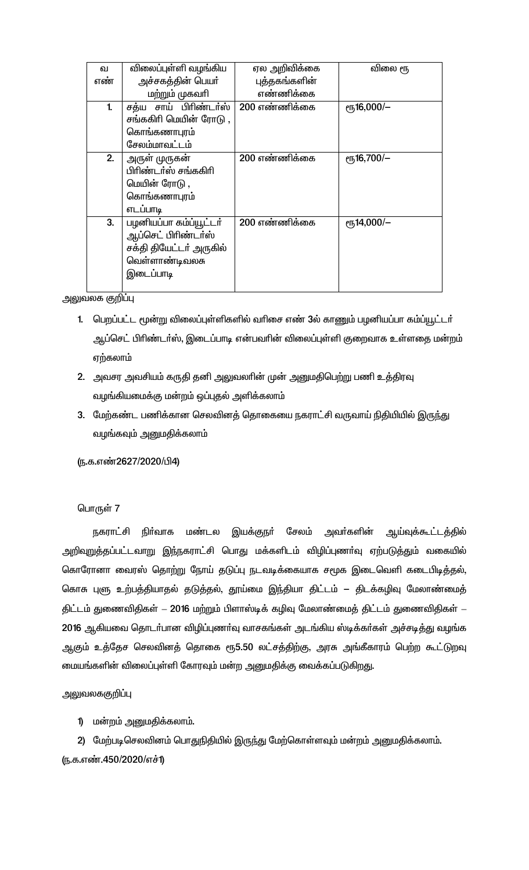| வ   | விலைப்புள்ளி வழங்கிய     | ஏல அறிவிக்கை  | விலை ரூ                 |
|-----|--------------------------|---------------|-------------------------|
| எண் | அச்சகத்தின் பெயர்        | புத்தகங்களின் |                         |
|     | மற்றும் முகவரி           | எண்ணிக்கை     |                         |
| 1.  | சாய் பிரிண்டர்ஸ்<br>சக்ய | 200 எண்ணிக்கை | $\epsilon$ гђ16,000/-   |
|     | சங்ககிரி மெயின் ரோடு ,   |               |                         |
|     | கொங்கணாபுரம்             |               |                         |
|     | சேலம்மாவட்டம்            |               |                         |
| 2.  | அருள் முருகன்            | 200 எண்ணிக்கை | $\epsilon$ гђ16,700/-   |
|     | பிரிண்டர்ஸ் சங்ககிரி     |               |                         |
|     | மெயின் ரோடு ,            |               |                         |
|     | கொங்கணாபுரம்             |               |                         |
|     | எடப்பாடி                 |               |                         |
| 3.  | பழனியப்பா கம்ப்யூட்டர்   | 200 எண்ணிக்கை | $\rm e\bar{m}$ 14,000/- |
|     | ஆப்செட் பிரிண்டா்ஸ்      |               |                         |
|     | சக்தி தியேட்டர் அருகில்  |               |                         |
|     | வெள்ளாண்டிவலசு           |               |                         |
|     | இடைப்பாடி                |               |                         |
|     |                          |               |                         |

அலுவலக குறிப்பு

- 1. பெறப்பட்ட மூன்று விலைப்புள்ளிகளில் வரிசை எண் 3ல் காணும் பழனியப்பா கம்ப்யூட்டர் ஆப்செட் பிரிண்டர்ஸ், இடைப்பாடி என்பவரின் விலைப்புள்ளி குறைவாக உள்ளதை மன்றம் ஏற்கலாம்
- 2. அவசர அவசியம் கருதி தனி அலுவலாின் முன் அனுமதிபெற்று பணி உத்திரவு வழங்கியமைக்கு மன்றம் ஒப்புதல் அளிக்கலாம்
- 3. மேற்கண்ட பணிக்கான செலவினத் தொகையை நகராட்சி வருவாய் நிதியியில் இருந்து வழங்கவும் அனுமதிக்கலாம்

# (ந.க.எண்2627/2020/பி4)

# பொருள் 7

நகராட்சி நிா்வாக மண்டல இயக்குநா் சேலம் அவா்களின் ஆய்வுக்கூட்டத்தில் அறிவுறுத்தப்பட்டவாறு இந்நகராட்சி பொது மக்களிடம் விழிப்புணா்வு ஏற்படுத்தும் வகையில் கொரோனா வைரஸ் தொற்று நோய் தடுப்பு நடவடிக்கையாக சமூக இடைவெளி கடைபிடித்தல், கொசு புளு உற்பத்தியாதல் தடுத்தல், தூய்மை இந்தியா திட்டம் – திடக்கழிவு மேலாண்மைத் திட்டம் துணைவிதிகள் – 2016 மற்றும் பிளாஸ்டிக் கழிவு மேலாண்மைத் திட்டம் துணைவிதிகள் – 2016 ஆகியவை தொடர்பான விழிப்புணர்வு வாசகங்கள் அடங்கிய ஸ்டிக்கர்கள் அச்சடித்து வழங்க ஆகும் உத்தேச செலவினத் தொகை ரூ5.50 லட்சத்திற்கு, அரசு அங்கீகாரம் பெற்ற கூட்டுறவு மையங்களின் விலைப்புள்ளி கோரவும் மன்ற அனுமதிக்கு வைக்கப்படுகிறது.

அலுவலககுறிப்பு

1) மன்றம் அனுமதிக்கலாம்.

2) மேற்படிசெலவினம் பொதுநிதியில் இருந்து மேற்கொள்ளவும் மன்றம் அனுமதிக்கலாம். (ந.க.எண்.450/2020/எச்1)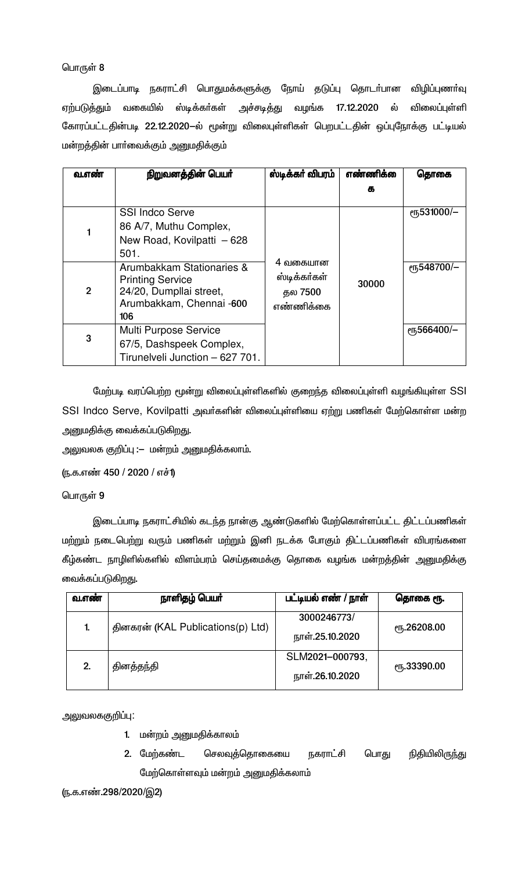இடைப்பாடி நகராட்சி பொதுமக்களுக்கு நோய் தடுப்பு தொடா்பான விழிப்புணா்வு ஏற்படுத்தும் வகையில் ஸ்டிக்கா்கள் அச்சடித்து வழங்க 17.12.2020 ல் விலைப்புள்ளி கோரப்பட்டதின்படி 22.12.2020-ல் மூன்று விலைபுள்ளிகள் பெறபட்டதின் ஒப்புநோக்கு பட்டியல் மன்றத்தின் பாா்வைக்கும் அனுமதிக்கும்

| வ.எண           | நிறுவனத்தின் பெயர்                                                                                                 | ஸ்டிக்கர் விபரம்                                 | எண்ணிக் | தொகை                     |
|----------------|--------------------------------------------------------------------------------------------------------------------|--------------------------------------------------|---------|--------------------------|
|                |                                                                                                                    |                                                  | க       |                          |
|                | <b>SSI Indco Serve</b><br>86 A/7, Muthu Complex,<br>New Road, Kovilpatti - 628<br>501.                             |                                                  |         | er <sub>5</sub> 531000/- |
| $\overline{2}$ | Arumbakkam Stationaries &<br><b>Printing Service</b><br>24/20, Dumpllai street,<br>Arumbakkam, Chennai -600<br>106 | 4 வகையான<br>ஸ்டிக்கா்கள்<br>தல 7500<br>எண்ணிக்கை | 30000   | eҧ548700/-               |
| 3              | Multi Purpose Service<br>67/5, Dashspeek Complex,<br>Tirunelveli Junction - 627 701.                               |                                                  |         | <b>е</b> ҧ566400/-       |

மேற்படி வரப்பெற்ற மூன்று விலைப்புள்ளிகளில் குறைந்த விலைப்புள்ளி வழங்கியுள்ள SSI SSI Indco Serve, Kovilpatti அவர்களின் விலைப்புள்ளியை ஏற்று பணிகள் மேற்கொள்ள மன்ற அனுமதிக்கு வைக்கப்படுகிறது.

அலுவலக குறிப்பு :– மன்றம் அனுமதிக்கலாம்.

(ந.க.எண் 450 / 2020 / எச்1)

# பொருள் 9

இடைப்பாடி நகராட்சியில் கடந்த நான்கு ஆண்டுகளில் மேற்கொள்ளப்பட்ட திட்டப்பணிகள் மற்றும் நடைபெற்று வரும் பணிகள் மற்றும் இனி நடக்க போகும் திட்டப்பணிகள் விபரங்களை கீழ்கண்ட நாழிளில்களில் விளம்பரம் செய்தமைக்கு தொகை வழங்க மன்றத்தின் அனுமதிக்கு வைக்கப்படுகிறது.

| வ.எண் | நாளிதழ் பெயர்                     | பட்டியல் எண் / நாள் | தொகை ரூ.            |  |
|-------|-----------------------------------|---------------------|---------------------|--|
| 1.    | தினகரன் (KAL Publications(p) Ltd) | 3000246773/         | ரு.26208.00         |  |
|       |                                   | நாள்.25.10.2020     |                     |  |
| 2.    | தினத்தந்தி                        | SLM2021-000793,     | <b>е</b> ҧ.33390.00 |  |
|       |                                   | நாள்.26.10.2020     |                     |  |

அலுவலககுறிப்பு:

- 1. மன்றம் அனுமதிக்காலம்
- 2. மேற்கண்ட செலவுத்தொகையை நகராட்சி நிதியிலிரு<u>ந்</u>து பொது மேற்கொள்ளவும் மன்றம் அனுமதிக்கலாம்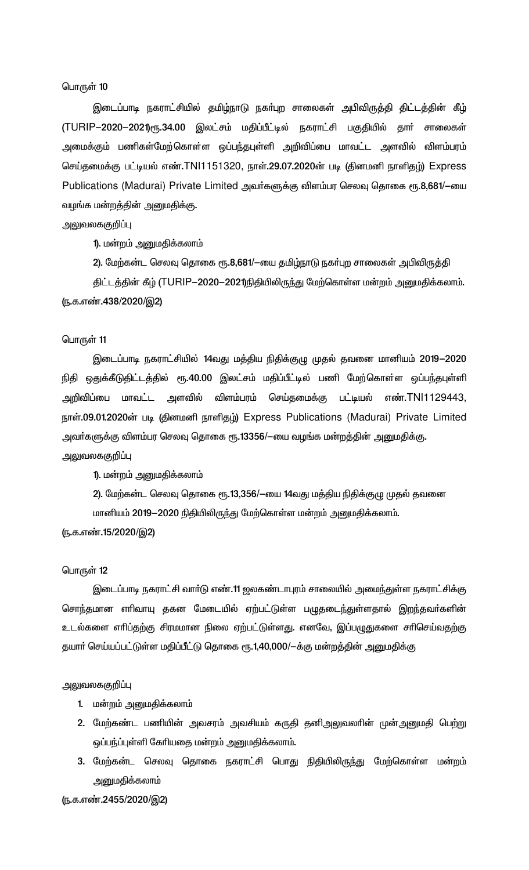இடைப்பாடி நகராட்சியில் தமிழ்நாடு நகா்புற சாலைகள் அபிவிருத்தி திட்டத்தின் கீழ் (TURIP-2020-2021)ரூ.34.00 இலட்சம் மதிப்பீட்டில் நகராட்சி பகுதியில் தாா் சாலைகள் அமைக்கும் பணிகள்மேற்கொள்ள ஒப்பந்தபுள்ளி அறிவிப்பை மாவட்ட அளவில் விளம்பரம் செய்தமைக்கு பட்டியல் எண்.TNI1151320, நாள்.29.07.2020ன் படி (தினமனி நாளிதழ்) Express Publications (Madurai) Private Limited அவர்களுக்கு விளம்பர செலவு தொகை ரூ.8,681/-யை வழங்க மன்றத்தின் அனுமதிக்கு.

## அலுவலககுறிப்பு

1). மன்றம் அனுமதிக்கலாம்

2). மேற்கன்ட செலவு தொகை ரூ.8,681/—யை தமிழ்நாடு நகா்புற சாலைகள் அபிவிருத்தி

திட்டத்தின் கீழ் (TURIP-2020-2021)நிதியிலிருந்து மேற்கொள்ள மன்றம் அனுமதிக்கலாம். (ந.க.எண்.438/2020/இ2)

#### பொருள் 11

இடைப்பாடி நகராட்சியில் 14வது மத்திய நிதிக்குழு முதல் தவனை மானியம் 2019-2020 நிதி ஒதுக்கீடுதிட்டத்தில் ரூ.40.00 இலட்சம் மதிப்பீட்டில் பணி மேற்கொள்ள ஒப்பந்தபுள்ளி அறிவிப்பை மாவட்ட அளவில் விளம்பரம் செய்தமைக்கு பட்டியல் எண்.TNl1129443, நாள்.09.01.2020ன் படி (தினமனி நாளிதழ்) Express Publications (Madurai) Private Limited அவா்களுக்கு விளம்பர செலவு தொகை ரூ.13356/--யை வழங்க மன்றத்தின் அனுமதிக்கு.

அலுவலககுறிப்பு

1). மன்றம் அனுமதிக்கலாம்

2). மேற்கன்ட செலவு தொகை ரூ.13,356/—யை 14வது மத்திய நிதிக்குழு முதல் தவனை மானியம் 2019—2020 நிதியிலிருந்து மேற்கொள்ள மன்றம் அனுமதிக்கலாம்.

(ந.க.எண்.15/2020/இ2)

#### பொருள்  $12$

இடைப்பாடி நகராட்சி வாா்டு எண்.11 ஜலகண்டாபுரம் சாலையில் அமைந்துள்ள நகராட்சிக்கு சொந்தமான எாிவாயு தகன மேடையில் ஏற்பட்டுள்ள பழுதடைந்துள்ளதால் இறந்தவா்களின் உடல்களை எாிப்தற்கு சிரமமான நிலை ஏற்பட்டுள்ளது. எனவே, இப்பழுதுகளை சாிசெய்வதற்கு தயாா் செய்யப்பட்டுள்ள மதிப்பீட்டு தொகை ரூ.1,40,000/-க்கு மன்றத்தின் அனுமதிக்கு

#### அலுவலககுறிப்பு

- 1. மன்றம் அனுமதிக்கலாம்
- 2. மேற்கண்ட பணியின் அவசரம் அவசியம் கருதி தனிஅலுவலாின் முன்அனுமதி பெற்று ஒப்பந்ப்புள்ளி கேரியதை மன்றம் அனுமதிக்கலாம்.
- 3. மேற்கன்ட செலவு தொகை நகராட்சி பொது நிதியிலிரு<u>ந்</u>து மேற்கொள்ள மன்றம் அனுமதிக்கலாம்

(ந.க.எண்.2455/2020/இ2)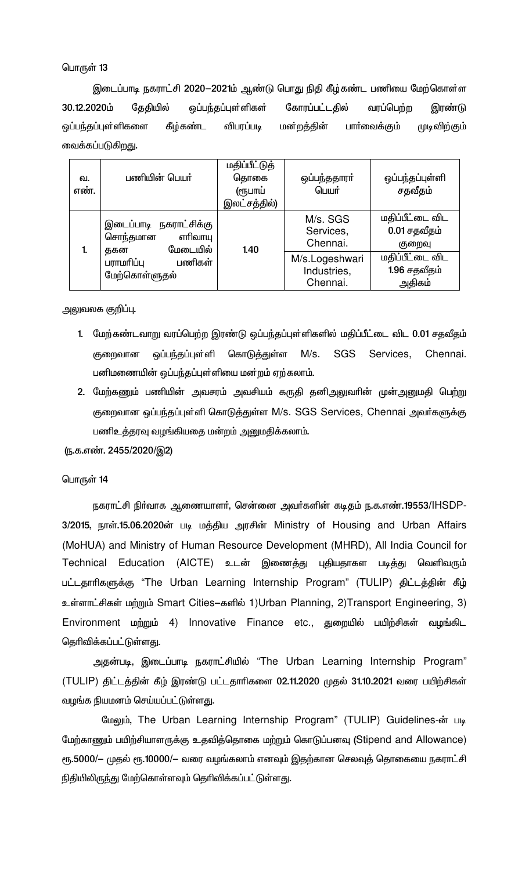இடைப்பாடி நகராட்சி 2020–2021ம் ஆண்டு பொது நிதி கீழ்கண்ட பணியை மேற்கொள்ள 30.12.2020ம் கேகியில் ஒப்பந்தப்புள்ளிகள் கோரப்பட்டதில் வரப்பெற்ற இரண்டு ஒப்பந்தப்புள்ளிகளை கீழ்கண்ட விபரப்படி மன்றத்தின் பாா்வைக்கும் முடிவிற்கும் வைக்கப்படுகிறது.

| வ.<br>எண். | பணியின் பெயர்                                                    | மதிப்பீட்டுத்<br>தொகை<br>(ரூபாய்<br>இலட்சத்தில்) | ஒப்பந்ததாரா்<br>பெயர்                     | ஒப்பந்தப்புள்ளி<br>சதவீதம்                |
|------------|------------------------------------------------------------------|--------------------------------------------------|-------------------------------------------|-------------------------------------------|
| 1.         | இடைப்பாடி நகராட்சிக்கு<br>சொந்தமான<br>எரிவாயு<br>மேடையில்<br>தகன | 1.40                                             | M/s. SGS<br>Services,<br>Chennai.         | மதிப்பீட்டை விட<br>0.01 சதவீதம்<br>குறைவு |
|            | பணிகள்<br>பராமரிப்பு<br>மேற்கொள்ளுதல்                            |                                                  | M/s.Logeshwari<br>Industries,<br>Chennai. | மதிப்பீட்டை விட<br>1.96 சதவீதம்<br>அதிகம் |

அலுவலக குறிப்பு.

- 1. மேற்கண்டவாறு வரப்பெற்ற இரண்டு ஒப்பந்தப்புள்ளிகளில் மதிப்பீட்டை விட 0.01 சதவீதம் குறைவான ஒப்பந்தப்புள்ளி கொடுத்துள்ள  $M/s.$ SGS Services. Chennai. பனிமணையின் ஒப்பந்தப்புள்ளியை மன்றம் ஏற்கலாம்.
- 2. மேற்கணும் பணியின் அவசரம் அவசியம் கருதி தனிஅலுவரின் முன்அனுமதி பெற்று குறைவான ஒப்பந்தப்புள்ளி கொடுத்துள்ள M/s. SGS Services, Chennai அவர்களுக்கு பணிஉத்தரவு வழங்கியதை மன்றம் அனுமதிக்கலாம்.

(ந.க.எண். 2455/2020/இ2)

### பொருள் 14

நகராட்சி நிர்வாக ஆணையாளர், சென்னை அவர்களின் கடிதம் ந.க.எண்.19553/lHSDP-3/2015, நாள்.15.06.2020ன் படி மத்திய அரசின் Ministry of Housing and Urban Affairs (MoHUA) and Ministry of Human Resource Development (MHRD), All India Council for Technical Education (AICTE) உடன் இணைத்து புதியதாகள படித்து வெளிவரும் பட்டதாரிகளுக்கு "The Urban Learning Internship Program" (TULIP) திட்டத்தின் கீழ் உள்ளாட்சிகள் மற்றும் Smart Cities–களில் 1)Urban Planning, 2)Transport Engineering, 3) Environment மற்றும் 4) Innovative Finance etc., துறையில் பயிற்சிகள் வழங்கிட தெரிவிக்கப்பட்டுள்ளது.

அதன்படி, இடைப்பாடி நகராட்சியில் "The Urban Learning Internship Program" (TULIP) திட்டத்தின் கீழ் இரண்டு பட்டதாரிகளை 02.11.2020 முதல் 31.10.2021 வரை பயிற்சிகள் வழங்க நியமனம் செய்யப்பட்டுள்ளது.

மேலும், The Urban Learning Internship Program" (TULIP) Guidelines-ன் படி மேற்காணும் பயிற்சியாளருக்கு உதவித்தொகை மற்றும் கொடுப்பனவு (Stipend and Allowance) ரூ.5000/— முதல் ரூ.10000/— வரை வழங்கலாம் எனவும் இதற்கான செலவுத் தொகையை நகராட்சி நிதியிலிருந்து மேற்கொள்ளவும் தெரிவிக்கப்பட்டுள்ளது.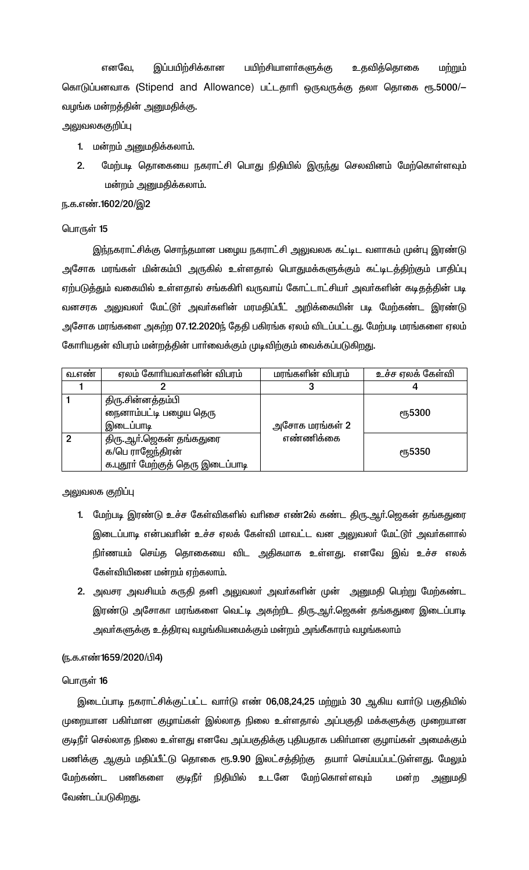எனவே. இப்பயிற்சிக்கான பயிற்சியாளா்களுக்கு உதவித்தொகை மற்றும் கொடுப்பனவாக (Stipend and Allowance) பட்டதாரி ஒருவருக்கு தலா தொகை ரூ.5000/-வழங்க மன்றத்தின் அனுமதிக்கு.

# அலுவலககுறிப்பு

- 1. மன்றம் அனுமதிக்கலாம்.
- $\mathbf{p}$ மேற்படி தொகையை நகராட்சி பொது நிதியில் இருந்து செலவினம் மேற்கொள்ளவும் மன்றம் அனுமதிக்கலாம்.

### ந.க.எண்.1602/20/இ2

## பொருள் 15

இந்நகராட்சிக்கு சொந்தமான பழைய நகராட்சி அலுவலக கட்டிட வளாகம் முன்பு இரண்டு அசோக மரங்கள் மின்கம்பி அருகில் உள்ளதால் பொதுமக்களுக்கும் கட்டிடத்திற்கும் பாதிப்பு ஏற்படுத்தும் வகையில் உள்ளதால் சங்ககிரி வருவாய் கோட்டாட்சியா் அவா்களின் கடிதத்தின் படி வனசரக அலுவலா் மேட்டூா் அவா்களின் மரமதிப்பீட் அறிக்கையின் படி மேற்கண்ட இரண்டு அசோக மரங்களை அகற்ற 07.12.2020ந் தேதி பகிரங்க ஏலம் விடப்பட்டது. மேற்படி மரங்களை ஏலம் கோரியதன் விபரம் மன்றத்தின் பாா்வைக்கும் முடிவிற்கும் வைக்கப்படுகிறது.

| வ.எண | ஏலம் கோரியவா்களின் விபரம்        | மரங்களின் விபரம் | உச்ச ஏலக் கேள்வி |
|------|----------------------------------|------------------|------------------|
|      |                                  |                  |                  |
|      | திரு.சின்னத்தம்பி                |                  |                  |
|      | நைனாம்பட்டி பழைய தெரு            |                  | <b>е</b> ҧ5300   |
|      | இடைப்பாடி                        | அசோக மரங்கள் 2   |                  |
|      | திரு.ஆா்.ஜெகன் தங்கதுரை          | எண்ணிக்கை        |                  |
|      | க/பெ ராஜேந்திரன்                 |                  | <b>е</b> ҧ5350   |
|      | க.புதூா் மேற்குத் தெரு இடைப்பாடி |                  |                  |

அலுவலக குறி**ப்**பு

- 1. மேற்படி இரண்டு உச்ச கேள்விகளில் வரிசை எண்2ல் கண்ட திரு.ஆர்.ஜெகன் தங்கதுரை இடைப்பாடி என்பவரின் உச்ச ஏலக் கேள்வி மாவட்ட வன அலுவலா் மேட்டூா் அவா்களால் நிா்ணயம் செய்த தொகையை விட அதிகமாக உள்ளது. எனவே இவ் உச்ச எலக் கேள்வியினை மன்றம் ஏற்கலாம்.
- 2. அவசர அவசியம் கருதி தனி அலுவலா் அவா்களின் முன் அனுமதி பெற்று மேற்கண்ட இரண்டு அசோகா மரங்களை வெட்டி அகற்றிட திரு.ஆர்.ஜெகன் தங்கதுரை இடைப்பாடி அவா்களுக்கு உத்திரவு வழங்கியமைக்கும் மன்றம் அங்கீகாரம் வழங்கலாம்

# (ந.க.எண்1659/2020/பி4)

### பொருள் 16

இடைப்பாடி நகராட்சிக்குட்பட்ட வார்டு எண் 06,08,24,25 மற்றும் 30 ஆகிய வார்டு பகுதியில் முறையான பகிா்மான குழாய்கள் இல்லாத நிலை உள்ளதால் அப்பகுதி மக்களுக்கு முறையான குடிநீா் செல்லாத நிலை உள்ளது எனவே அப்பகுதிக்கு புதியதாக பகிா்மான குழாய்கள் அமைக்கும் பணிக்கு ஆகும் மதிப்பீட்டு தொகை ரூ.9.90 இலட்சத்திற்கு தயாா் செய்யப்பட்டுள்ளது. மேலும் மேற்கண்ட பணிகளை குடிநீா் நிதியில் உடனே மேற்கொள்ளவும் மன்ற அனுமதி வேண்டப்படுகிறது.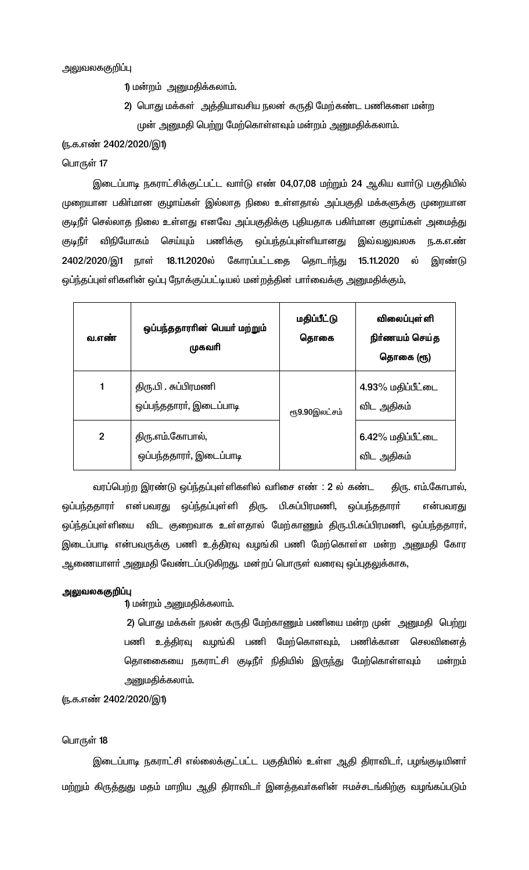அலுவலககுறிப்பு

- 1) மன்றம் அனுமதிக்கலாம்.
- 2) பொது மக்கள் அத்தியாவசிய நலன் கருதி மேற்கண்ட பணிகளை மன்ற முன் அனுமதி பெற்று மேற்கொள்ளவும் மன்றம் அனுமதிக்கலாம்.

### (ந.க.எண் 2402/2020/இ1)

#### பொருள் 17

இடைப்பாடி நகராட்சிக்குட்பட்ட வார்டு எண் 04,07,08 மற்றும் 24 ஆகிய வார்டு பகுதியில் முறையான பகிா்மான குழாய்கள் இல்லாத நிலை உள்ளதால் அப்பகுதி மக்களுக்கு முறையான குடிநீா் செல்லாத நிலை உள்ளது எனவே அப்பகுதிக்கு புதியதாக பகிா்மான குழாய்கள் அமைத்து குடிநீா் விநியோகம் செய்யும் பணிக்கு ஒப்பந்தப்புள்ளியானது இவ்வலுவலக ந.க.எ.ண் 2402/2020/இ1 நாள் 18.11.2020ல் கோரப்பட்டதை தொடர்ந்து 15.11.2020 ல் இரண்டு ஒப்ந்தப்புள்ளிகளின் ஒப்பு நோக்குப்பட்டியல் மன்றத்தின் பாா்வைக்கு அனுமதிக்கும்,

| வ.எண்          | ஒப்பந்ததாரரின் பெயர் மற்றும்<br>முகவரி          | மதிப்பீட்டு<br>தொகை | விலைப்புள்ளி<br>நிர்ணயம் செய்த<br>தொகை (ரூ) |
|----------------|-------------------------------------------------|---------------------|---------------------------------------------|
| 1              | திரு.பி . சுப்பிரமணி<br>ஒப்பந்ததாரா், இடைப்பாடி | ரூ9.90இலட்சம்       | 4.93% மதிப்பீட்டை<br>விட அதிகம்             |
| $\overline{2}$ | திரு.எம்.கோபால்,<br>ஒப்பந்ததாரா், இடைப்பாடி     |                     | 6.42% மதிப்பீட்டை<br>விட அதிகம்             |

வரப்பெற்ற இரண்டு ஒப்ந்தப்புள்ளிகளில் வரிசை எண் : 2 ல் கண்ட திரு. எம்.கோபால், ஒப்பந்ததாரா் என்பவரது ஒப்ந்தப்புள்ளி திரு. பி.சுப்பிரமணி, ஒப்பந்ததாரா் என்பவரது ஒப்ந்தப்புள்ளியை விட குறைவாக உள்ளதால் மேற்காணும் திரு.பி.சுப்பிரமணி, ஒப்பந்ததாரா், இடைப்பாடி என்பவருக்கு பணி உத்திரவு வழங்கி பணி மேற்கொள்ள மன்ற அனுமதி கோர ஆணையாளா் அனுமதி வேண்டப்படுகிறது. மன்றப் பொருள் வரைவு ஒப்புதலுக்காக,

#### அலுவலககுறிப்பு

1) மன்றம் அனுமதிக்கலாம்.

2) பொது மக்கள் நலன் கருதி மேற்காணும் பணியை மன்ற முன் அனுமதி பெற்று பணி உத்திரவு வழங்கி பணி மேற்கொளவும், பணிக்கான செலவினைத் தொணைகயை நகராட்சி குடிநீா் நிதியில் இருந்து மேற்கொள்ளவும் மன்றம் அனுமதிக்கலாம்.

# (ந.க.எண் 2402/2020/இ1)

#### பொருள் 18

இடைப்பாடி நகராட்சி எல்லைக்குட்பட்ட பகுதியில் உள்ள ஆதி திராவிடா், பழங்குடியினா் மற்றும் கிருத்துது மதம் மாறிய ஆதி திராவிடா் இனத்தவா்களின் ஈமச்சடங்கிற்கு வழங்கப்படும்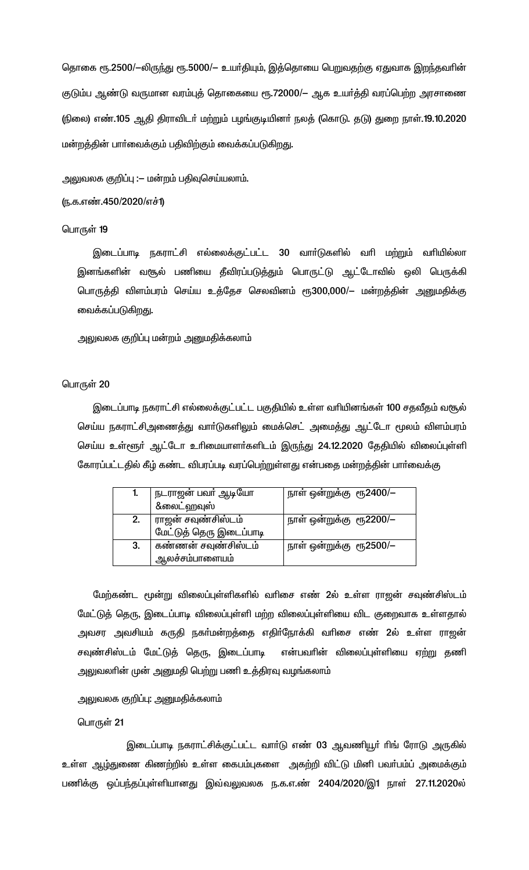தொகை ரூ.2500/-லிருந்து ரூ.5000/– உயர்தியும், இத்தொயை பெறுவதற்கு ஏதுவாக இறந்தவரின் குடும்ப ஆண்டு வருமான வரம்புத் தொகையை ரூ.72000/— ஆக உயர்த்தி வரப்பெற்ற அரசாணை (நிலை) எண்.105 ஆதி திராவிடா் மற்றும் பழங்குடியினா் நலத் (கொடு. தடு) துறை நாள்.19.10.2020 மன்றத்தின் பாா்வைக்கும் பதிவிற்கும் வைக்கப்படுகிறது.

அலுவலக குறிப்பு :— மன்றம் பதிவுசெய்யலாம்.

## (ந.க.எண்.450/2020/எச்1)

### பொருள் 19

இடைப்பாடி நகராட்சி எல்லைக்குட்பட்ட 30 வார்டுகளில் வரி மற்றும் வரியில்லா இனங்களின் வசூல் பணியை தீவிரப்படுத்தும் பொருட்டு ஆட்டோவில் ஒலி பெருக்கி பொருத்தி விளம்பரம் செய்ய உத்தேச செலவினம் ரூ300,000/— மன்றத்தின் அனுமதிக்கு வைக்கப்படுகிறது.

அலுவலக குறிப்பு மன்றம் அனுமதிக்கலாம்

### பொருள் 20

இடைப்பாடி நகராட்சி எல்லைக்குட்பட்ட பகுதியில் உள்ள வரியினங்கள் 100 சதவீதம் வசூல் செய்ய நகராட்சிஅணைத்து வாா்டுகளிலும் மைக்செட் அமைத்து ஆட்டோ மூலம் விளம்பரம் செய்ய உள்ளூா் ஆட்டோ உாிமையாளா்களிடம் இருந்து 24.12.2020 தேதியில் விலைப்புள்ளி கோரப்பட்டதில் கீழ் கண்ட விபரப்படி வரப்பெற்றுள்ளது என்பதை மன்றத்தின் பாா்வைக்கு

| ı. | ் நடராஜன் பவா் ஆடியோ<br>&லைட்ஹவுஸ்            | நாள் ஒன்றுக்கு  ரூ2400/— |
|----|-----------------------------------------------|--------------------------|
| 2. | ராஜன் சவுண்சிஸ்டம்<br>மேட்டுத் தெரு இடைப்பாடி | நாள் ஒன்றுக்கு ரூ2200/—  |
| 3. | கண்ணன் சவுண்சிஸ்டம்<br>ஆலச்சம்பாளையம்         | நாள் ஒன்றுக்கு ரூ2500/—  |

மேற்கண்ட மூன்று விலைப்புள்ளிகளில் வரிசை எண் 2ல் உள்ள ராஜன் சவுண்சிஸ்டம் மேட்டுத் தெரு, இடைப்பாடி விலைப்புள்ளி மற்ற விலைப்புள்ளியை விட குறைவாக உள்ளதால் அவசர அவசியம் கருதி நகா்மன்றத்தை எதிா்நோக்கி வாிசை எண் 2ல் உள்ள ராஜன<mark>்</mark> சவுண்சிஸ்டம் மேட்டுத் தெரு, இடைப்பாடி என்பவரின் விலைப்புள்ளியை ஏற்று தணி அலுவலாின் முன் அனுமதி பெற்று பணி உத்திரவு வழங்கலாம்

அலுவலக குறிப்பு: அனுமதிக்கலாம்

பொருள் 21

இடைப்பாடி நகராட்சிக்குட்பட்ட வார்டு எண் 03 ஆவணியூர் ரிங் ரோடு அருகில் உள்ள ஆழ்துணை கிணற்றில் உள்ள கைபம்புகளை அகற்றி விட்டு மினி பவா்பம்ப் அமைக்கும் பணிக்கு ஒப்பந்தப்புள்ளியானது இவ்வலுவலக ந.க.எ.ண் 2404/2020/இ1 நாள் 27.11.2020ல்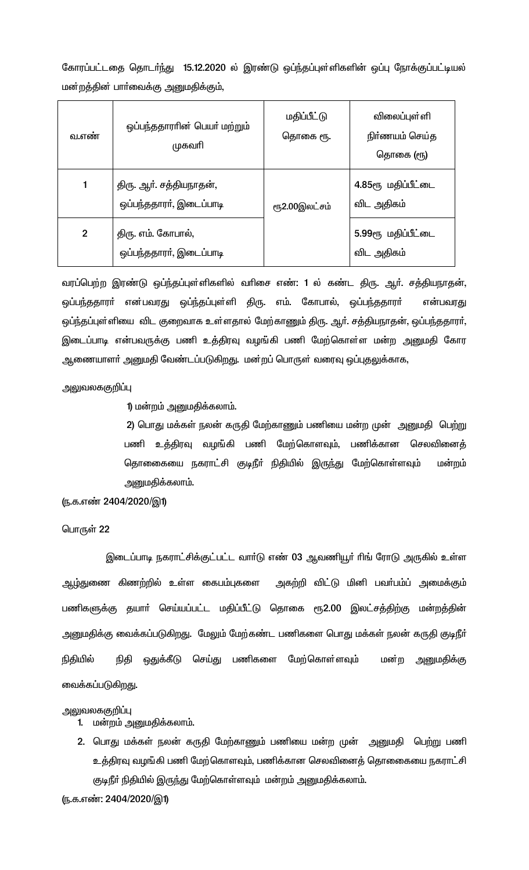கோரப்பட்டதை தொடா்ந்து 15.12.2020 ல் இரண்டு ஒப்ந்தப்புள்ளிகளின் ஒப்பு நோக்குப்பட்டியல் மன்றத்தின் பாா்வைக்கு அனுமதிக்கும்,

| வ.எண்        | ஒப்பந்ததாராின் பெயா் மற்றும்<br>முகவரி             | மதிப்பீட்டு<br>தொகை ரூ. | விலைப்புள்ளி<br>நிர்ணயம் செய்த<br>தொகை (ரூ) |
|--------------|----------------------------------------------------|-------------------------|---------------------------------------------|
| 1            | திரு. ஆர். சத்தியநாதன்,<br>ஒப்பந்ததாரா், இடைப்பாடி | ரூ2.00இலட்சம்           | 4.85ரூ மதிப்பீட்டை<br>விட அதிகம்            |
| $\mathbf{2}$ | திரு. எம். கோபால்,<br>ஒப்பந்ததாரா், இடைப்பாடி      |                         | 5.99ரூ மதிப்பீட்டை<br>விட அதிகம்            |

வரப்பெற்ற இரண்டு ஒப்ந்தப்புள்ளிகளில் வரிசை எண்: 1 ல் கண்ட திரு. ஆர். சத்தியநாதன், ஒப்பந்ததாரா் என்பவரது ஒப்ந்தப்புள்ளி திரு. எம். கோபால், ஒப்பந்ததாரா் என்பவரது ஒப்ந்தப்புள்ளியை விட குறைவாக உள்ளதால் மேற்காணும் திரு. ஆர். சத்தியநாதன், ஒப்பந்ததாரா், இடைப்பாடி என்பவருக்கு பணி உத்திரவு வழங்கி பணி மேற்கொள்ள மன்ற அனுமதி கோர ஆணையாளா் அனுமதி வேண்டப்படுகிறது. மன்றப் பொருள் வரைவு ஒப்புதலுக்காக,

### அலுவலககுறிப்பு

### 1) மன்றம் அனுமதிக்கலாம்.

2) பொது மக்கள் நலன் கருதி மேற்காணும் பணியை மன்ற முன் அனுமதி பெற்று பணி உத்திரவு வழங்கி பணி மேற்கொளவும், பணிக்கான செலவினைத் தொணைகயை நகராட்சி குடிநீா் நிதியில் இருந்து மேற்கொள்ளவும் மன்றம் அனுமதிக்கலாம்.

### (ந.க.எண் 2404/2020/இ1)

### பொருள் 22

இடைப்பாடி நகராட்சிக்குட்பட்ட வார்டு எண் 03 ஆவணியூர் ரிங் ரோடு அருகில் உள்ள ஆழ்துணை கிணற்றில் உள்ள கைபம்புகளை அகற்றி விட்டு மினி பவா்பம்ப் அமைக்கும் பணிகளுக்கு தயாா் செய்யப்பட்ட மதிப்பீட்டு தொகை ரூ2.00 இலட்சத்திற்கு மன்றத்தின் அனுமதிக்கு வைக்கப்படுகிறது. மேலும் மேற்கண்ட பணிகளை பொது மக்கள் நலன் கருதி குடிநீா் நிதியில் நிதி ஒதுக்கீடு செய்து பணிகளை மேற்கொள்ளவும் மன்ற அனுமதிக்கு வைக்கப்படுகிறது.

#### அலுவலககுறிப்பு

- 1. மன்றம் அனுமதிக்கலாம்.
- 2. பொது மக்கள் நலன் கருதி மேற்காணும் பணியை மன்ற முன் அனுமதி பெற்று பணி உத்திரவு வழங்கி பணி மேற்கொளவும், பணிக்கான செலவினைத் தொகையை நகராட்சி குடிநீா் நிதியில் இருந்து மேற்கொள்ளவும் மன்றம் அனுமதிக்கலாம்.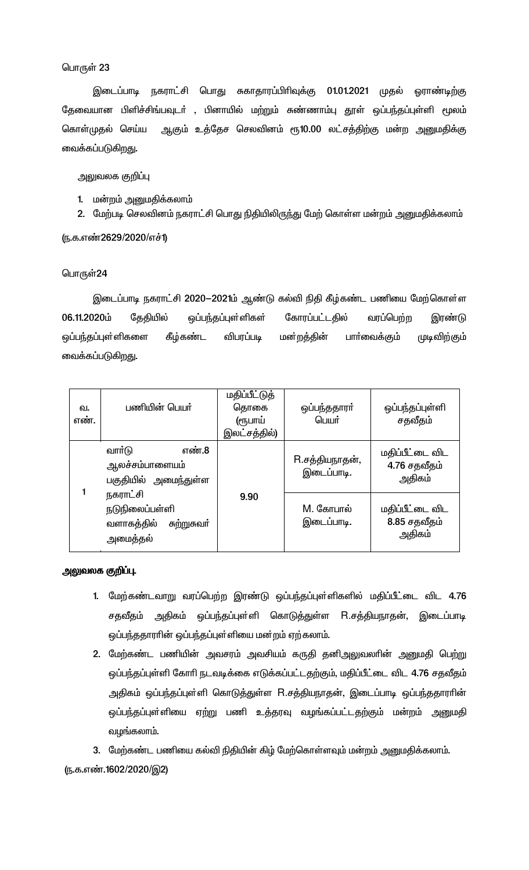இடைப்பாடி நகராட்சி பொது சுகாதாரப்பிரிவுக்கு 01.01.2021 முதல் ஓராண்டிற்கு தேவையான பிளிச்சிங்பவுடா் , பினாயில் மற்றும் சுண்ணாம்பு தூள் ஒப்பந்தப்புள்ளி மூலம் ஆகும் உத்தேச செலவினம் ரூ10.00 லட்சத்திற்கு மன்ற அனுமதிக்கு கொள்முதல் செய்ய வைக்கப்படுகிறது.

அலுவலக குறிப்பு

- 1. மன்றம் அனுமதிக்கலாம்
- 2. மேற்படி செலவினம் நகராட்சி பொது நிதியிலிருந்து மேற் கொள்ள மன்றம் அனுமதிக்கலாம்

(ந.க.எண்2629/2020/எச்1)

## பொருள்24

இடைப்பாடி நகராட்சி 2020–2021ம் ஆண்டு கல்வி நிதி கீழ்கண்ட பணியை மேற்கொள்ள 06.11.2020ம் தேதியில் ஒப்பந்தப்புள்ளிகள் கோரப்பட்டதில் வரப்பெற்ற இரண்டு கீழ்கண்ட விபரப்படி மன்றத்தின் பாா்வைக்கும் முடிவிற்கும் ஒப்பந்தப்புள்ளிகளை வைக்கப்படுகிறது.

| வ.<br>எண். | பணியின் பெயர்                                                    | மதிப்பீட்டுத்<br>தொகை<br>(ரூபாய்<br>இலட்சத்தில்) | ஒப்பந்ததாரா்<br>பெயர்                     | ஒப்பந்தப்புள்ளி<br>சதவீதம்                |
|------------|------------------------------------------------------------------|--------------------------------------------------|-------------------------------------------|-------------------------------------------|
|            | வார்டு<br>எண்.8<br>ஆலச்சம்பாளையம்<br>பகுதியில் அமைந்துள்ள        | R.சத்தியநாதன்,<br>இடைப்பாடி.                     | மதிப்பீட்டை விட<br>4.76 சதவீதம்<br>அதிகம் |                                           |
|            | நகராட்சி<br>நடுநிலைப்பள்ளி<br>வளாகத்தில் சுற்றுசுவா்<br>அமைத்தல் | 9.90                                             | M. கோபால்<br>இடைப்பாடி.                   | மதிப்பீட்டை விட<br>8.85 சதவீதம்<br>அதிகம் |

# அலுவலக குறிப்பு.

- 1. மேற்கண்டவாறு வரப்பெற்ற இரண்டு ஒப்பந்தப்புள்ளிகளில் மதிப்பீட்டை விட 4.76 சதவீதம் அதிகம் ஒப்பந்தப்புள்ளி கொடுத்துள்ள R.சத்தியநாதன், இடைப்பாடி ஒப்பந்ததாரரின் ஒப்பந்தப்புள்ளியை மன றம் ஏற்கலாம்.
- 2. மேற்கண்ட பணியின் அவசரம் அவசியம் கருதி தனிஅலுவலாின் அனுமதி பெற்று ஒப்பந்தப்புள்ளி கோரி நடவடிக்கை எடுக்கப்பட்டதற்கும், மதிப்பீட்டை விட 4.76 சதவீதம் அதிகம் ஒப்பந்தப்புள்ளி கொடுத்துள்ள R.சத்தியநாதன், இடைப்பாடி ஒப்பந்ததாராின் ஒப்பந்தப்புள்ளியை ஏற்று பணி உத்தரவு வழங்கப்பட்டதற்கும் மன்றம் அனுமதி வழங்கலாம்.

3. மேற்கண்ட பணியை கல்வி நிதியின் கிழ் மேற்கொள்ளவும் மன்றம் அனுமதிக்கலாம்.

(ந.க.எண்.1602/2020/இ2)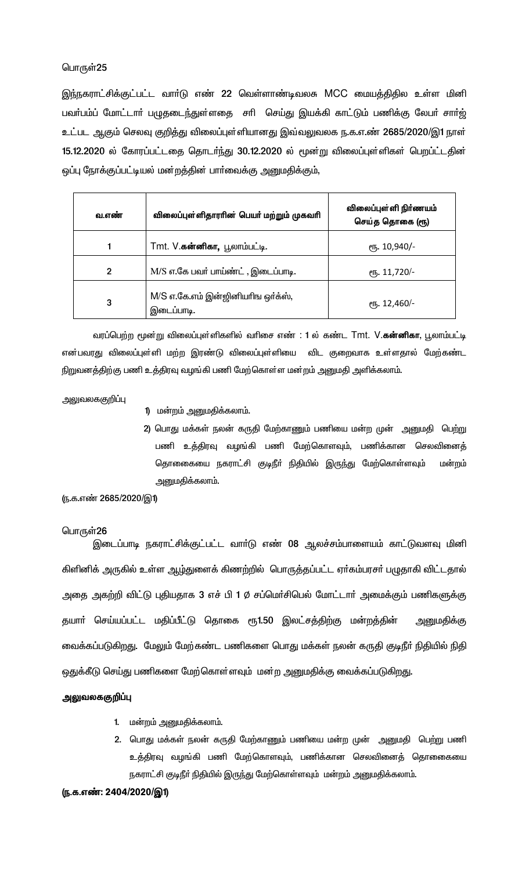இந்நகராட்சிக்குட்பட்ட வாா்டு எண் 22 வெள்ளாண்டிவலசு MCC மையத்திதில உள்ள மினி பவா்பம்ப் மோட்டாா் பழுதடைந்துள்ளதை சாி செய்து இயக்கி காட்டும் பணிக்கு லேபா் சாா்ஜ் உட்பட ஆகும் செலவு குறித்து விலைப்புள்ளியானது இவ்வலுவலக ந.க.எ.ண் 2685/2020/இ1 நாள் 15.12.2020 ல் கோரப்பட்டதை தொடர்ந்து 30.12.2020 ல் மூன்று விலைப்புள்ளிகள் பெறப்ட்டதின் ஒப்பு நோக்குப்பட்டியல் மன்றத்தின் பார்வைக்கு அனுமதிக்கும்,

| வ.எண்        | விலைப்புள்ளிதாரரின் பெயர் மற்றும் முகவரி        | விலைப்புள்ளி நிர்ணயம்<br>செய்த தொகை (ரூ) |
|--------------|-------------------------------------------------|------------------------------------------|
|              | Tmt. V. <b>கன்னிகா,</b> பூலாம்பட்டி.            | ரூ. 10,940/-                             |
| $\mathbf{2}$ | M/S எ.கே பவர் பாய்ண்ட், இடைப்பாடி.              | ரூ. 11,720/-                             |
| 3            | M/S எ.கே.எம் இன்ஜினியரிங ஒர்க்ஸ்,<br>இடைப்பாடி. | ரு. 12,460/-                             |

வரப்பெற்ற மூன்று விலைப்புள்ளிகளில் வரிசை எண் : 1 ல் கண்ட Tmt. V.**கன்னிகா**, பூலாம்பட்டி என்பவரது விலைப்புள்ளி மற்ற இரண்டு விலைப்புள்ளியை விட குறைவாக உள்ளதால் மேற்கண்ட நிறுவனத்திற்கு பணி உத்திரவு வழங்கி பணி மேற்கொள்ள மன்றம் அனுமதி அளிக்கலாம்.

அலுவலககுறி**ப்**பு

- 1) மன்றம் அனுமதிக்கலாம்.
- 2) பொது மக்கள் நலன் கருதி மேற்காணும் பணியை மன்ற முன் அனுமதி பெற்று பணி உத்திரவு வழங்கி பணி மேற்கொளவும், பணிக்கான செலவினைத் தொனைகயை நகராட்சி குடிநீா் நிதியில் இருந்து மேற்கொள்ளவும் மன்றம் அனுமதிக்கலாம்.

(ந.க.எண் 2685/2020/இ1)

#### பொருள்26

இடைப்பாடி நகராட்சிக்குட்பட்ட வார்டு எண் 08 ஆலச்சம்பாளையம் காட்டுவளவு மினி கிளினிக் அருகில் உள்ள ஆழ்துளைக் கிணற்றில் பொருத்தப்பட்ட ஏா்கம்பரசா் பழுதாகி விட்டதால் அதை அகற்றி விட்டு புதியதாக 3 எச் பி 1  $\phi$  சப்மெர்சிபெல் மோட்டார் அமைக்கும் பணிகளுக்கு தயாா் செய்யப்பட்ட மதிப்பீட்டு தொகை ரூ1.50 இலட்சத்திற்கு மன்றத்தின் அனுமதிக்கு வைக்கப்படுகிறது. மேலும் மேற்கண்ட பணிகளை பொது மக்கள் நலன் கருதி குடிநீர் நிதியில் நிதி ஒதுக்கீடு செய்து பணிகளை மேற்கொள்ளவும் மன்ற அனுமதிக்கு வைக்கப்படுகிறது.

#### அலுவலககுறிப்பு

- 1. மன்றம் அனுமதிக்கலாம்.
- 2. பொது மக்கள் நலன் கருதி மேற்காணும் பணியை மன்ற முன் அனுமதி பெற்று பணி உத்திரவு வழங்கி பணி மேற்கொளவும், பணிக்கான செலவினைத் தொகைையை நகராட்சி குடிநீர் நிதியில் இருந்து மேற்கொள்ளவும் மன்றம் அனுமதிக்கலாம்.

(ந.க.எண்: 2404/2020/இ1)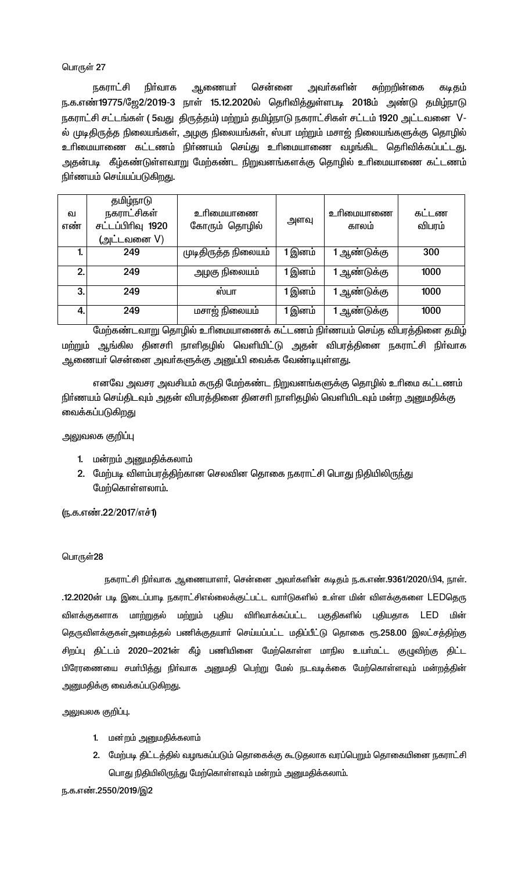நிர்வாக சென்னை நகராட்சி ஆணையா் அவா்களின் சுற்றறின்கை கடிதம் ந.க.எண்19775/ஜே2/2019-3 நாள் 15.12.2020ல் தெரிவித்துள்ளபடி 2018ம் அண்டு தமிழ்நாடு நகராட்சி சட்டங்கள் ( 5வது திருத்தம்) மற்றும் தமிழ்நாடு நகராட்சிகள் சட்டம் 1920 அட்டவனை V-ல் முடிதிருத்த நிலையங்கள், அழகு நிலையங்கள், ஸ்பா மற்றும் மசாஜ் நிலையங்களுக்கு தொழில் உரிமையாணை கட்டணம் நிர்ணயம் செய்து உரிமையாணை வழங்கிட தெரிவிக்கப்பட்டது. அதன்படி கீழ்கண்டுள்ளவாறு மேற்கண்ட நிறுவனங்களக்கு தொழில் உரிமையாணை கட்டணம் நிர்ணயம் செய்யப்படுகிறது.

| ഖ<br>எண் | தமிழ்நாடு<br>நகராட்சிகள்<br>சட்டப்பிரிவு 1920<br>(அட்டவனை V) | உரிமையாணை<br>கோரும் தொழில் | அளவு   | உரிமையாணை<br>காலம் | கடடண<br>விபரம் |
|----------|--------------------------------------------------------------|----------------------------|--------|--------------------|----------------|
| 1.       | 249                                                          | முடிதிருத்த நிலையம்        | 1 இனம் | 1 ஆண்டுக்கு        | 300            |
| 2.       | 249                                                          | அழகு நிலையம்               | 1 இனம் | 1 ஆண்டுக்கு        | 1000           |
| 3.       | 249                                                          | ஸ்பா                       | 1 இனம் | 1 ஆண்டுக்கு        | 1000           |
| 4.       | 249                                                          | மசாஜ் நிலையம்              | 1 இனம் | 1 ஆண்டுக்கு        | 1000           |

மேற்கண்டவாறு தொழில் உரிமையாணைக் கட்டணம் நிர்ணயம் செய்த விபரத்தினை தமிழ் மற்றும் ஆங்கில தினசாி நாளிதழில் வெளியிட்டு அதன் விபரத்தினை நகராட்சி நிா்வாக ஆணையா் சென்னை அவா்களுக்கு அனுப்பி வைக்க வேண்டியுள்ளது.

எனவே அவசர அவசியம் கருதி மேற்கண்ட நிறுவனங்களுக்கு தொழில் உரிமை கட்டணம் நிா்ணயம் செய்திடவும் அதன் விபரத்தினை தினசாி நாளிதழில் வெளியிடவும் மன்ற அனுமதிக்கு வைக்கப்படுகிறது

அலுவலக குறிப்பு

- 1. மன்றம் அனுமதிக்கலாம்
- 2. மேற்படி விளம்பரத்திற்கான செலவின தொகை நகராட்சி பொது நிதியிலிருந்து மேற்கொள்ளலாம்.

(ந.க.எண்.22/2017/எச்1)

#### பொருள்28

நகராட்சி நிர்வாக ஆணையாளர், சென்னை அவர்களின் கடிதம் ந.க.எண்.9361/2020/பி4, நாள். .12.2020ன் படி இடைப்பாடி நகராட்சிஎல்லைக்குட்பட்ட வார்டுகளில் உள்ள மின் விளக்குகளை LEDதெரு விளக்குகளாக மாற்றுதல் மற்றும் புதிய விரிவாக்கப்பட்ட பகுதிகளில் புதியதாக LED மின் தெருவிளக்குகள்அமைத்தல் பணிக்குதயாா் செய்யப்பட்ட மதிப்பீட்டு தொகை ரூ.258.00 இலட்சத்திற்கு சிறப்பு திட்டம் 2020-2021ன் கீழ் பணியினை மேற்கொள்ள மாநில உயர்மட்ட குழுவிற்கு திட்ட பிரேரணையை சமா்பித்து நிா்வாக அனுமதி பெற்று மேல் நடவடிக்கை மேற்கொள்ளவும் மன்றத்தின் அனுமதிக்கு வைக்கப்படுகிறது.

அலுவலக குறிப்பு.

- 1. மன்றம் அனுமதிக்கலாம்
- 2. மேற்படி திட்டத்தில் வழஙகப்படும் தொகைக்கு கூடுதலாக வரப்பெறும் தொகையினை நகராட்சி பொது நிதியிலிருந்து மேற்கொள்ளவும் மன்றம் அனுமதிக்கலாம்.

#### ந.க.எண்.2550/2019/இ2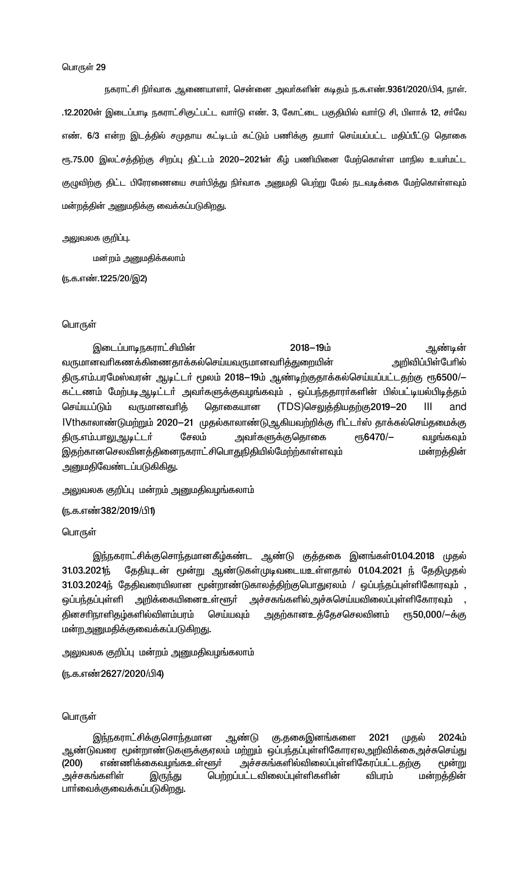நகராட்சி நிா்வாக ஆணையாளா், சென்னை அவா்களின் கடிதம் ந.க.எண்.9361/2020/பி4, நாள். .12.2020ன் இடைப்பாடி நகராட்சிகுட்பட்ட வார்டு எண். 3, கோட்டை பகுதியில் வார்டு சி, பிளாக் 12, சர்வே எண். 6/3 என்ற இடத்தில் சமுதாய கட்டிடம் கட்டும் பணிக்கு தயாா் செய்யப்பட்ட மதிப்பீட்டு தொகை ரூ.75.00 இலட்சத்திற்கு சிறப்பு திட்டம் 2020-2021ன் கீழ் பணியினை மேற்கொள்ள மாநில உயர்மட்ட குழுவிற்கு திட்ட பிரேரணையை சமா்பித்து நிா்வாக அனுமதி பெற்று மேல் நடவடிக்கை மேற்கொள்ளவும் மன்றத்தின் அனுமதிக்கு வைக்கப்படுகிறது.

#### அலுவலக குறிப்பு.

மன்றம் அனுமதிக்கலாம்

(ந.க.எண்.1225/20/இ2)

#### பொருள்

இடைப்பாடிநகராட்சியின் 2018-19ம் ஆண்டின் அறிவிப்பிள்பேரில் வருமானவரிகணக்கிணைதாக்கல்செய்யவருமானவரித்துறையின் திரு.எம்.பரமேஸ்வரன் ஆடிட்டர் மூலம் 2018–19ம் ஆண்டிற்குதாக்கல்செய்யப்பட்டதற்கு ரூ6500/– கட்டணம் மேற்படிஆடிட்டா் அவா்களுக்குவழங்கவும் , ஒப்பந்ததாரா்களின் பில்பட்டியல்பிடித்தம் தொகையான வருமானவரித் (TDS)செலுத்தியதற்கு2019-20 செய்ய.ப்டும் ШL and IVthகாலாண்டுமற்றும் 2020–21 முதல்காலாண்டு ஆகியவற்றிக்கு ரிட்டர்ஸ் தாக்கல்செய்தமைக்கு சேலம் еҧ6470/-திரு.எம்.பாலுஆடிட்டா் அவா்களுக்குதொகை வழங்கவும் இதற்கானசெலவினத்தினைநகராட்சிபொதுநிதியில்மேற்ற்காள்ளவும் மன்றத்தின் அனுமதிவேண்டப்படுகிகிது.

அலுவலக குறிப்பு மன்றம் அனுமதிவழங்கலாம்

ரு.க.எண்382/2019/பி1)

பொருள்

இந்நகராட்சிக்குசொந்தமானகீழ்கண்ட ஆண்டு குத்தகை இனங்கள் $01.04.2018$  முதல் 31.03.2021応 தேதியுடன் மூன்று ஆண்டுகள்முடிவடையஉள்ளதால் 01.04.2021 ந் தேதிமுதல் 31.03.2024ந் தேதிவரையிலான மூன்றாண்டுகாலத்திற்குபொதுஏலம் / ஒப்பந்தப்புள்ளிகோரவும் , ஒப்பந்தப்புள்ளி அறிக்கையினைஉள்ளூா் அச்சகங்களில்அச்சுசெய்யவிலைப்புள்ளிகோரவும் தினசரிநாளிதழ்களில்விளம்பரம் செய்யவும் <u>அதற்கானஉத்தே</u>சசெலவினம் ரூ50,000/-க்கு மன்றஅனுமதிக்குவைக்கப்படுகிறது.

அலுவலக குறிப்பு மன்றம் அனுமதிவழங்கலாம்

(ந.க.எண்2627/2020/பி4)

## பொருள்

கு.தகைஇனங்களை இந்நகராட்சிக்குசொந்தமான ஆண்டு 2021 முதல் 2024ம் ஆண்டுவரை மூன்றாண்டுகளுக்குஏலம் மற்றும் ஒப்பந்தப்புள்ளிகோரஏலஅறிவிக்கைஅச்சுசெய்து  $(200)$ எண்ணிக்கைவழங்கஉள்ளூா் அச்சகங்களில்விலைப்புள்ளிகேரப்பட்டதற்கு மூன்று அச்சகங்களிள் பெற்றப்பட்டவிலைப்புள்ளிகளின் விபரம் இருந்து மன்றத்தின் பாா்வைக்குவைக்கப்படுகிறது.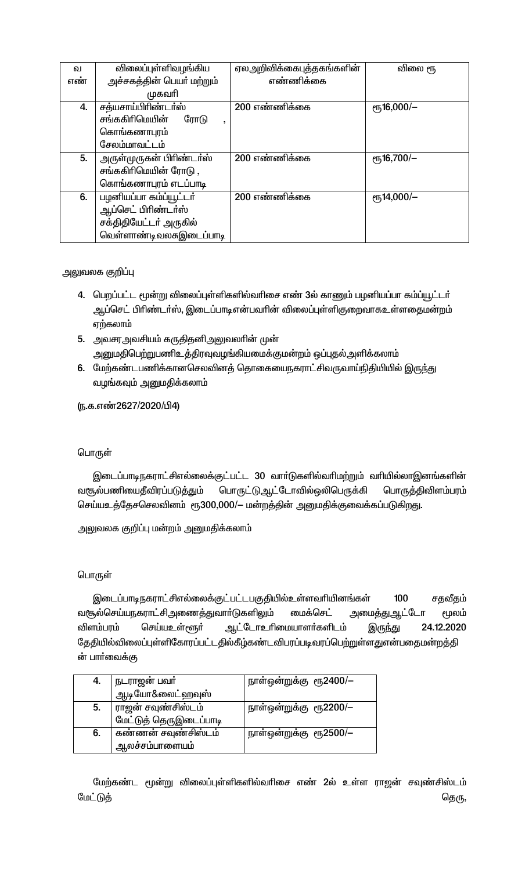| ഖ   | விலைப்புள்ளிவழங்கிய                      | ஏலஅறிவிக்கைபுத்தகங்களின் | விலை ரூ               |
|-----|------------------------------------------|--------------------------|-----------------------|
| எண் | அச்சகத்தின் பெயர் மற்றும்                | எண்ணிக்கை                |                       |
|     | முகவரி                                   |                          |                       |
| 4.  | சத்யசாய்பிரிண்டா்ஸ்                      | 200 எண்ணிக்கை            | $\epsilon$ гђ16,000/- |
|     | சங்ககிரிமெயின்<br>ரோடு<br>$\overline{ }$ |                          |                       |
|     | கொங்கணாபுரம்                             |                          |                       |
|     | சேலம்மாவட்டம்                            |                          |                       |
| 5.  | அருள்முருகன் பிரிண்டர்ஸ்                 | 200 எண்ணிக்கை            | $e$ гђ16,700/-        |
|     | சங்ககிரிமெயின் ரோடு ,                    |                          |                       |
|     | கொங்கணாபுரம் எடப்பாடி                    |                          |                       |
| 6.  | பழனியப்பா கம்ப்யூட்டர்                   | 200 எண்ணிக்கை            | $e$ гђ14,000/-        |
|     | ஆப்செட் பிரிண்டா்ஸ்                      |                          |                       |
|     | சக்திதியேட்டர் அருகில்                   |                          |                       |
|     | வெள்ளாண்டிவலசுஇடைப்பாடி                  |                          |                       |

# அலுவலக குறிப்பு

- 4. பெறப்பட்ட மூன்று விலைப்புள்ளிகளில்வரிசை எண் 3ல் காணும் பழனியப்பா கம்ப்யூட்டர் ஆப்செட் பிரிண்டர்ஸ், இடைப்பாடிஎன்பவரின் விலைப்புள்ளிகுறைவாகஉள்ளதைமன்றம் ஏற்கலாம்
- 5. அவசரஅவசியம் கருதிதனிஅலுவலாின் முன் அனுமதிபெற்றுபணிஉத்திரவுவழங்கியமைக்குமன்றம் ஒப்புதல்அளிக்கலாம்
- 6. மேற்கண்டபணிக்கானசெலவினத் தொகையைநகராட்சிவருவாய்நிதியியில் இருந்து வழங்கவும் அனுமதிக்கலாம்

(ந.க.எண்2627/2020/பி4)

# பொருள்

இடைப்பாடிநகராட்சிஎல்லைக்குட்பட்ட 30 வார்டுகளில்வரிமற்றும் வரியில்லாஇனங்களின் வசூல்பணியைதீவிரப்படுத்தும் பொருட்டுஆட்டோவில்ஒலிபெருக்கி பொருத்திவிளம்பரம் செய்யஉத்தேசசெலவினம் ரூ300,000/— மன்றத்தின் அனுமதிக்குவைக்கப்படுகிறது.

அலுவலக குறிப்பு மன்றம் அனுமதிக்கலாம்

# பொருள்

இடைப்பாடிநகராட்சிஎல்லைக்குட்பட்டபகுதியில்உள்ளவரியினங்கள் 100 சதவீதம் வசூல்செய்யநகராட்சிஅணைத்துவாா்டுகளிலும் மைக்செட் அமைத்துஆட்டோ மூலம் ஆட்டோஉரிமையாளர்களிடம் செய்யஉள்ளூர் 24.12.2020 விளம்பரம் இருந்து தேதியில்விலைப்புள்ளிகோரப்பட்டதில்கீழ்கண்டவிபரப்படிவரப்பெற்றுள்ளதுஎன்பதைமன்றத்தி ன் பார்வைக்கு

| 4. | நடராஜன் பவா்           | நாள்ஒன்றுக்கு ரூ2400/— |
|----|------------------------|------------------------|
|    | ஆடியோ&லைட்ஹவுஸ்        |                        |
| 5. | ராஜன் சவுண்சிஸ்டம்     | நாள்ஒன்றுக்கு ரூ2200/— |
|    | மேட்டுத் தெருஇடைப்பாடி |                        |
| 6. | கண்ணன் சவுண்சிஸ்டம்    | நாள்ஒன்றுக்கு ரூ2500/- |
|    | ஆலச்சம்பாளையம்         |                        |

மேற்கண்ட மூன்று விலைப்புள்ளிகளில்வரிசை எண் 2ல் உள்ள ராஜன் சவுண்சிஸ்டம் மேட்டுத் தெரு,